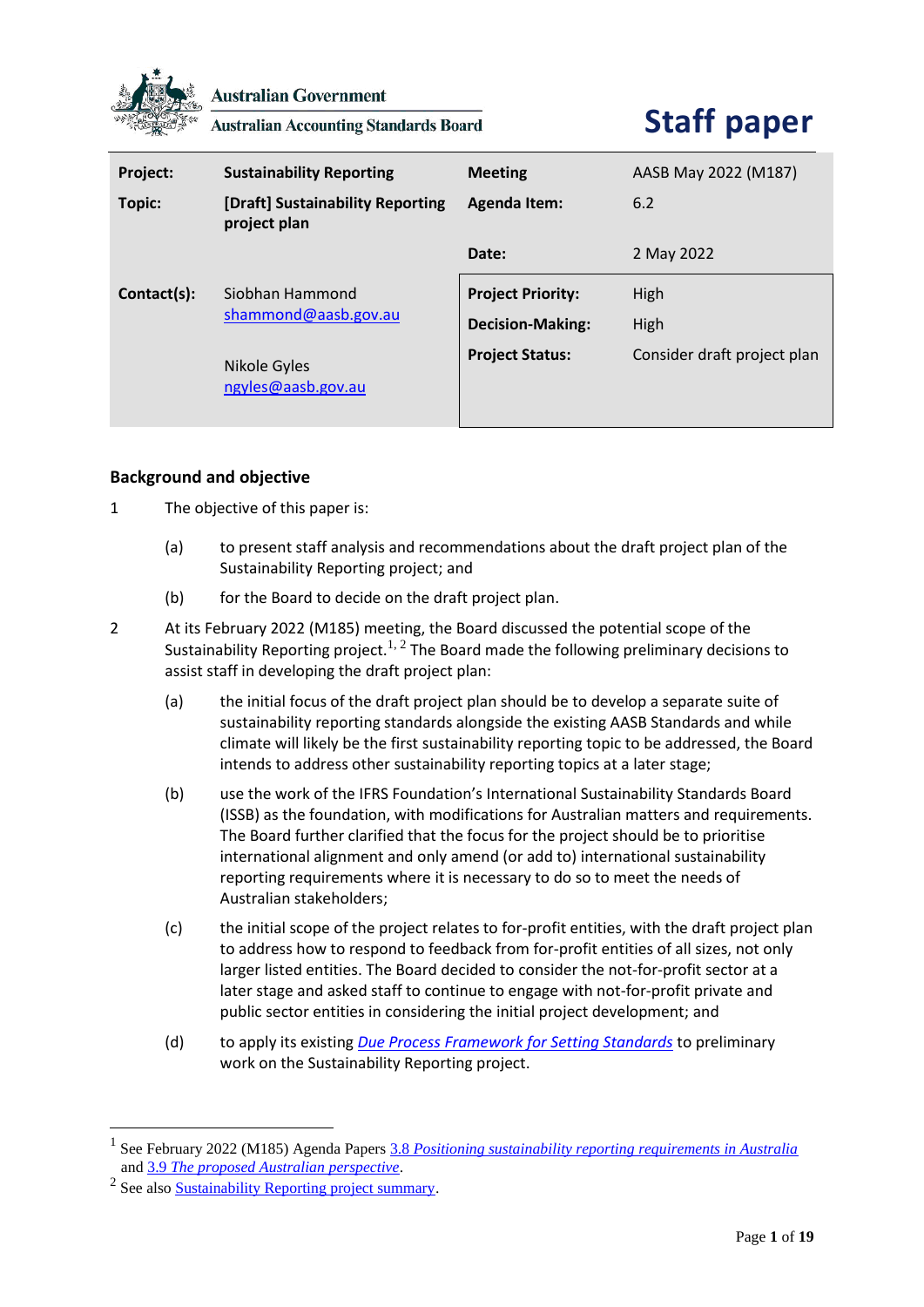

**Australian Government** 

**Australian Accounting Standards Board** 

# **Staff paper**

| Project:    | <b>Sustainability Reporting</b>                  | <b>Meeting</b>           | AASB May 2022 (M187)        |
|-------------|--------------------------------------------------|--------------------------|-----------------------------|
| Topic:      | [Draft] Sustainability Reporting<br>project plan | <b>Agenda Item:</b>      | 6.2                         |
|             |                                                  | Date:                    | 2 May 2022                  |
| Contact(s): | Siobhan Hammond<br>shammond@aasb.gov.au          | <b>Project Priority:</b> | High                        |
|             |                                                  | <b>Decision-Making:</b>  | High                        |
|             | Nikole Gyles<br>ngyles@aasb.gov.au               | <b>Project Status:</b>   | Consider draft project plan |

# **Background and objective**

- 1 The objective of this paper is:
	- (a) to present staff analysis and recommendations about the draft project plan of the Sustainability Reporting project; and
	- (b) for the Board to decide on the draft project plan.
- 2 At its February 2022 (M185) meeting, the Board discussed the potential scope of the Sustainability Reporting project.<sup>1, 2</sup> The Board made the following preliminary decisions to assist staff in developing the draft project plan:
	- (a) the initial focus of the draft project plan should be to develop a separate suite of sustainability reporting standards alongside the existing AASB Standards and while climate will likely be the first sustainability reporting topic to be addressed, the Board intends to address other sustainability reporting topics at a later stage;
	- (b) use the work of the IFRS Foundation's International Sustainability Standards Board (ISSB) as the foundation, with modifications for Australian matters and requirements. The Board further clarified that the focus for the project should be to prioritise international alignment and only amend (or add to) international sustainability reporting requirements where it is necessary to do so to meet the needs of Australian stakeholders;
	- (c) the initial scope of the project relates to for-profit entities, with the draft project plan to address how to respond to feedback from for-profit entities of all sizes, not only larger listed entities. The Board decided to consider the not-for-profit sector at a later stage and asked staff to continue to engage with not-for-profit private and public sector entities in considering the initial project development; and
	- (d) to apply its existing *[Due Process Framework for Setting Standards](https://www.aasb.gov.au/admin/file/content102/c3/AASB_Due_Process_Framework_09-19.pdf)* to preliminary work on the Sustainability Reporting project.

<sup>1</sup> See February 2022 (M185) Agenda Papers 3.8 *[Positioning sustainability reporting requirements in Australia](https://www.aasb.gov.au/media/gsonkotz/3-8-0_sr_positioningsrinaust_m185_pp.pdf)* and 3.9 *[The proposed Australian perspective](https://www.aasb.gov.au/media/kcnl1zic/3-9_sr_proposedaustperspective_m185_pp.pdf)*.

<sup>&</sup>lt;sup>2</sup> See also **Sustainability Reporting project summary**.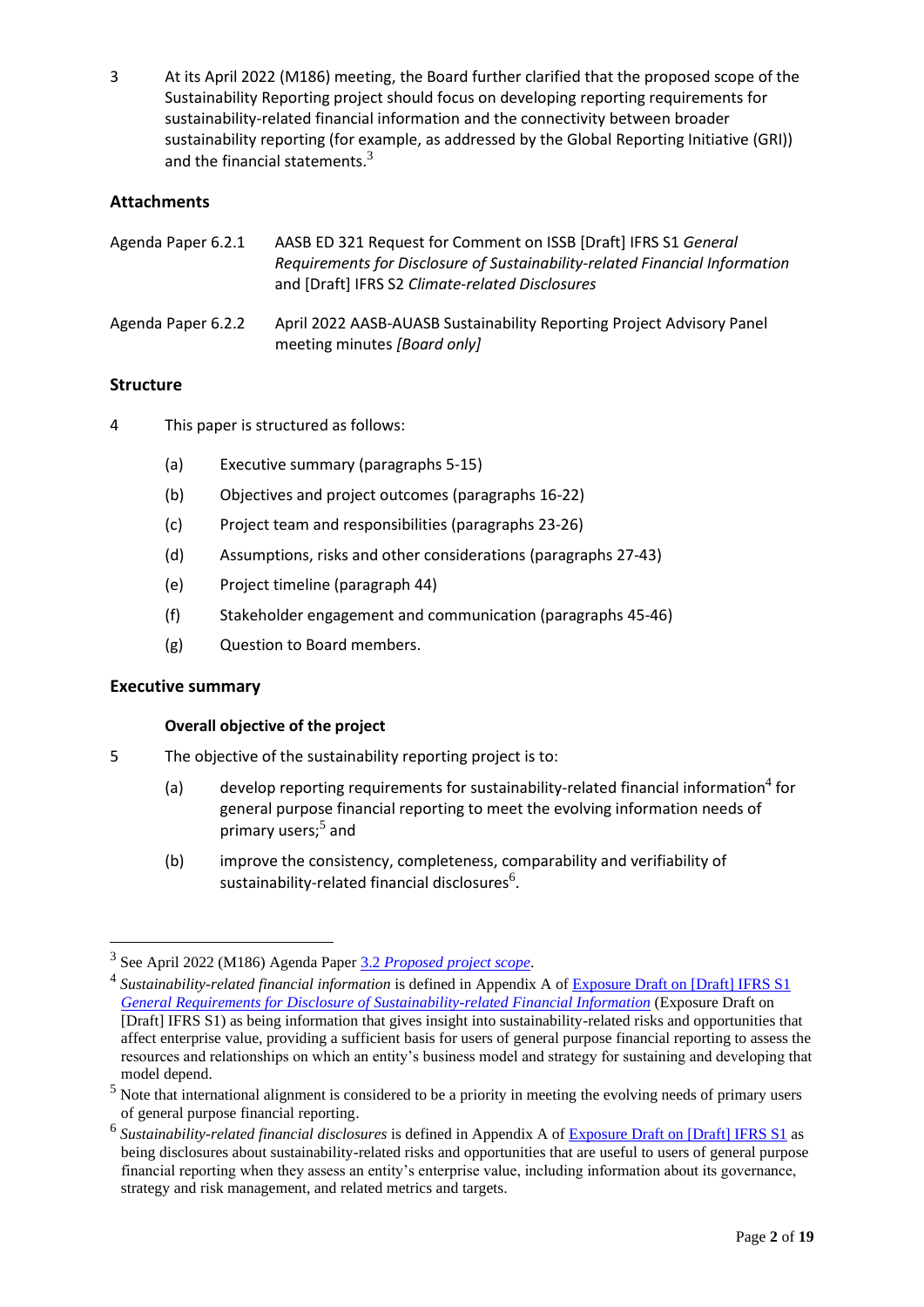3 At its April 2022 (M186) meeting, the Board further clarified that the proposed scope of the Sustainability Reporting project should focus on developing reporting requirements for sustainability-related financial information and the connectivity between broader sustainability reporting (for example, as addressed by the Global Reporting Initiative (GRI)) and the financial statements. $3$ 

# **Attachments**

| Agenda Paper 6.2.1 | AASB ED 321 Request for Comment on ISSB [Draft] IFRS S1 General<br>Requirements for Disclosure of Sustainability-related Financial Information<br>and [Draft] IFRS S2 Climate-related Disclosures |
|--------------------|---------------------------------------------------------------------------------------------------------------------------------------------------------------------------------------------------|
| Agenda Paper 6.2.2 | April 2022 AASB-AUASB Sustainability Reporting Project Advisory Panel<br>meeting minutes [Board only]                                                                                             |

# **Structure**

- 4 This paper is structured as follows:
	- (a) Executive summary (paragraphs 5-15)
	- (b) Objectives and project outcomes (paragraphs 16-22)
	- (c) Project team and responsibilities (paragraphs 23-26)
	- (d) Assumptions, risks and other considerations (paragraphs 27-43)
	- (e) Project timeline (paragraph 44)
	- (f) Stakeholder engagement and communication (paragraphs 45-46)
	- (g) Question to Board members.

# **Executive summary**

# **Overall objective of the project**

- 5 The objective of the sustainability reporting project is to:
	- (a)  $\qquad$  develop reporting requirements for sustainability-related financial information<sup>4</sup> for general purpose financial reporting to meet the evolving information needs of primary users;<sup>5</sup> and
	- (b) improve the consistency, completeness, comparability and verifiability of sustainability-related financial disclosures<sup>6</sup>.

<sup>3</sup> See April 2022 (M186) Agenda Paper 3.2 *[Proposed project scope](https://www.aasb.gov.au/media/nvzmq1i5/03-2-0_sp_sr_projectscope_m186_pp.pdf)*.

<sup>&</sup>lt;sup>4</sup> Sustainability-related financial information is defined in Appendix A of Exposure Draft on [Draft] IFRS S1 *[General Requirements for Disclosure of Sustainability-related Financial Information](https://www.ifrs.org/content/dam/ifrs/project/general-sustainability-related-disclosures/exposure-draft-ifrs-s1-general-requirements-for-disclosure-of-sustainability-related-financial-information.pdf)* (Exposure Draft on [Draft] IFRS S1) as being information that gives insight into sustainability-related risks and opportunities that affect enterprise value, providing a sufficient basis for users of general purpose financial reporting to assess the resources and relationships on which an entity's business model and strategy for sustaining and developing that model depend.

<sup>&</sup>lt;sup>5</sup> Note that international alignment is considered to be a priority in meeting the evolving needs of primary users of general purpose financial reporting.

<sup>&</sup>lt;sup>6</sup> Sustainability-related financial disclosures is defined in Appendix A of Exposure Draft [on \[Draft\] IFRS S1](https://www.ifrs.org/content/dam/ifrs/project/general-sustainability-related-disclosures/exposure-draft-ifrs-s1-general-requirements-for-disclosure-of-sustainability-related-financial-information.pdf) as being disclosures about sustainability-related risks and opportunities that are useful to users of general purpose financial reporting when they assess an entity's enterprise value, including information about its governance, strategy and risk management, and related metrics and targets.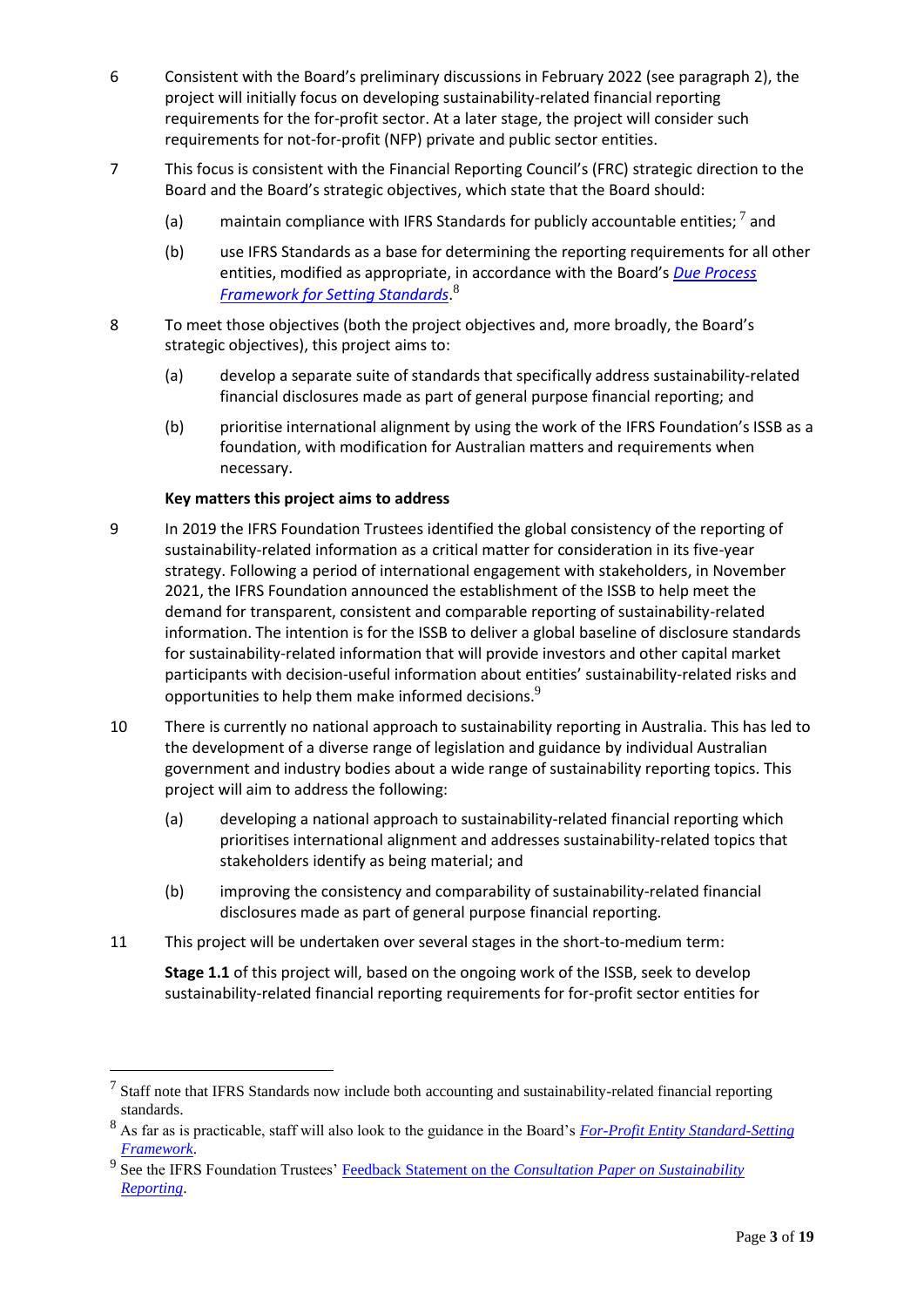- 6 Consistent with the Board's preliminary discussions in February 2022 (see paragraph 2), the project will initially focus on developing sustainability-related financial reporting requirements for the for-profit sector. At a later stage, the project will consider such requirements for not-for-profit (NFP) private and public sector entities.
- 7 This focus is consistent with the Financial Reporting Council's (FRC) strategic direction to the Board and the Board's strategic objectives, which state that the Board should:
	- (a) maintain compliance with IFRS Standards for publicly accountable entities;  $^7$  and
	- (b) use IFRS Standards as a base for determining the reporting requirements for all other entities, modified as appropriate, in accordance with the Board's *[Due Process](https://www.aasb.gov.au/admin/file/content102/c3/AASB_Due_Process_Framework_09-19.pdf)  [Framework for Setting Standards](https://www.aasb.gov.au/admin/file/content102/c3/AASB_Due_Process_Framework_09-19.pdf)*. 8
- 8 To meet those objectives (both the project objectives and, more broadly, the Board's strategic objectives), this project aims to:
	- (a) develop a separate suite of standards that specifically address sustainability-related financial disclosures made as part of general purpose financial reporting; and
	- (b) prioritise international alignment by using the work of the IFRS Foundation's ISSB as a foundation, with modification for Australian matters and requirements when necessary.

# **Key matters this project aims to address**

- 9 In 2019 the IFRS Foundation Trustees identified the global consistency of the reporting of sustainability-related information as a critical matter for consideration in its five-year strategy. Following a period of international engagement with stakeholders, in November 2021, the IFRS Foundation announced the establishment of the ISSB to help meet the demand for transparent, consistent and comparable reporting of sustainability-related information. The intention is for the ISSB to deliver a global baseline of disclosure standards for sustainability-related information that will provide investors and other capital market participants with decision-useful information about entities' sustainability-related risks and opportunities to help them make informed decisions.<sup>9</sup>
- 10 There is currently no national approach to sustainability reporting in Australia. This has led to the development of a diverse range of legislation and guidance by individual Australian government and industry bodies about a wide range of sustainability reporting topics. This project will aim to address the following:
	- (a) developing a national approach to sustainability-related financial reporting which prioritises international alignment and addresses sustainability-related topics that stakeholders identify as being material; and
	- (b) improving the consistency and comparability of sustainability-related financial disclosures made as part of general purpose financial reporting.
- 11 This project will be undertaken over several stages in the short-to-medium term:

**Stage 1.1** of this project will, based on the ongoing work of the ISSB, seek to develop sustainability-related financial reporting requirements for for-profit sector entities for

 $<sup>7</sup>$  Staff note that IFRS Standards now include both accounting and sustainability-related financial reporting</sup> standards.

<sup>8</sup> As far as is practicable, staff will also look to the guidance in the Board's *[For-Profit Entity Standard-Setting](https://www.aasb.gov.au/media/ghadw0sa/aasb_fp_stdsetting_fwk_07-21.pdf)  [Framework](https://www.aasb.gov.au/media/ghadw0sa/aasb_fp_stdsetting_fwk_07-21.pdf)*.

<sup>&</sup>lt;sup>9</sup> See the IFRS Foundation Trustees' **Feedback Statement on the** *Consultation Paper on Sustainability [Reporting](https://www.ifrs.org/content/dam/ifrs/project/sustainability-reporting/sustainability-consultation-paper-feedback-statement.pdf)*.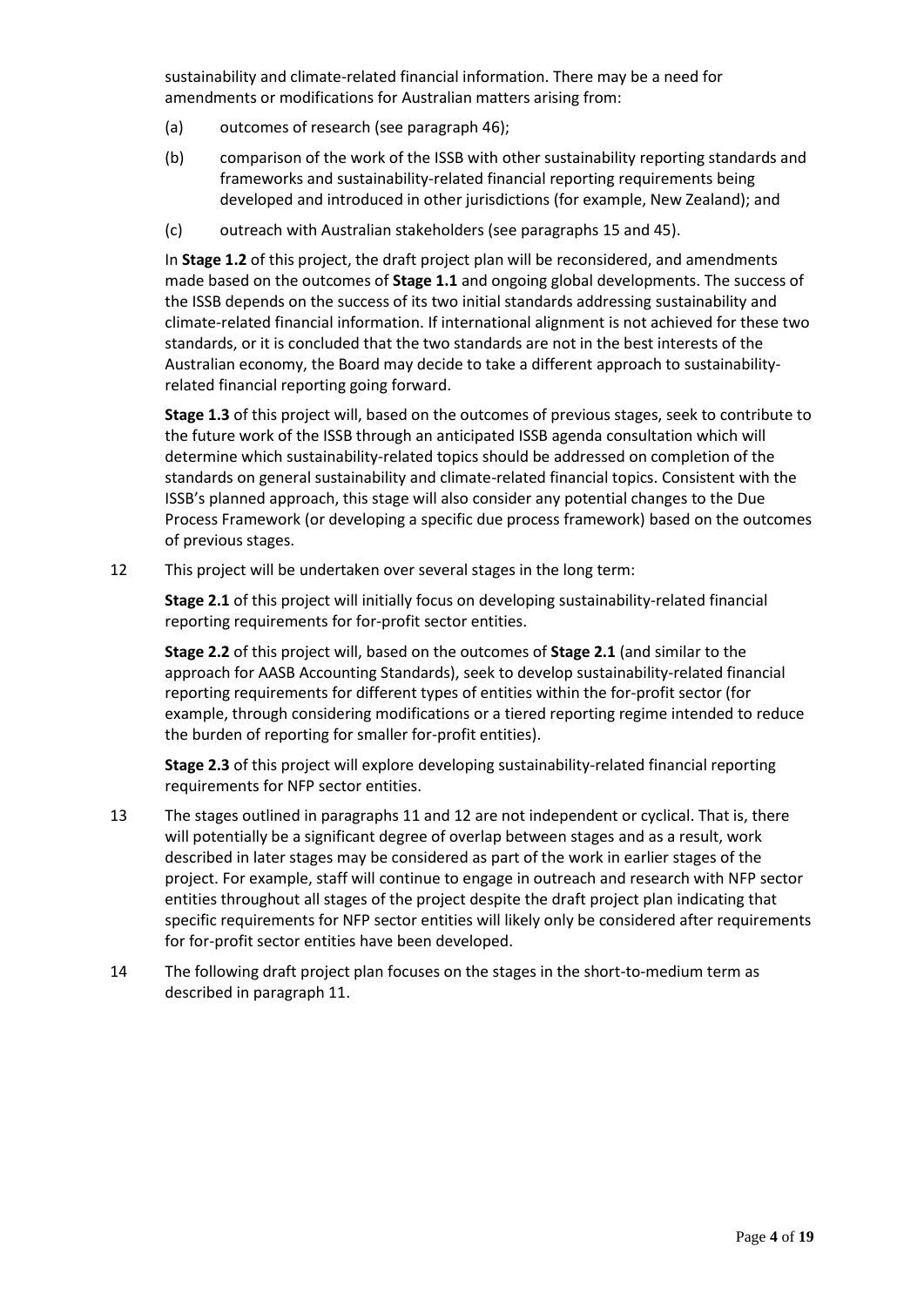sustainability and climate-related financial information. There may be a need for amendments or modifications for Australian matters arising from:

- (a) outcomes of research (see paragraph 46);
- (b) comparison of the work of the ISSB with other sustainability reporting standards and frameworks and sustainability-related financial reporting requirements being developed and introduced in other jurisdictions (for example, New Zealand); and
- (c) outreach with Australian stakeholders (see paragraphs 15 and 45).

In **Stage 1.2** of this project, the draft project plan will be reconsidered, and amendments made based on the outcomes of **Stage 1.1** and ongoing global developments. The success of the ISSB depends on the success of its two initial standards addressing sustainability and climate-related financial information. If international alignment is not achieved for these two standards, or it is concluded that the two standards are not in the best interests of the Australian economy, the Board may decide to take a different approach to sustainabilityrelated financial reporting going forward.

**Stage 1.3** of this project will, based on the outcomes of previous stages, seek to contribute to the future work of the ISSB through an anticipated ISSB agenda consultation which will determine which sustainability-related topics should be addressed on completion of the standards on general sustainability and climate-related financial topics. Consistent with the ISSB's planned approach, this stage will also consider any potential changes to the Due Process Framework (or developing a specific due process framework) based on the outcomes of previous stages.

12 This project will be undertaken over several stages in the long term:

**Stage 2.1** of this project will initially focus on developing sustainability-related financial reporting requirements for for-profit sector entities.

**Stage 2.2** of this project will, based on the outcomes of **Stage 2.1** (and similar to the approach for AASB Accounting Standards), seek to develop sustainability-related financial reporting requirements for different types of entities within the for-profit sector (for example, through considering modifications or a tiered reporting regime intended to reduce the burden of reporting for smaller for-profit entities).

**Stage 2.3** of this project will explore developing sustainability-related financial reporting requirements for NFP sector entities.

- 13 The stages outlined in paragraphs 11 and 12 are not independent or cyclical. That is, there will potentially be a significant degree of overlap between stages and as a result, work described in later stages may be considered as part of the work in earlier stages of the project. For example, staff will continue to engage in outreach and research with NFP sector entities throughout all stages of the project despite the draft project plan indicating that specific requirements for NFP sector entities will likely only be considered after requirements for for-profit sector entities have been developed.
- 14 The following draft project plan focuses on the stages in the short-to-medium term as described in paragraph 11.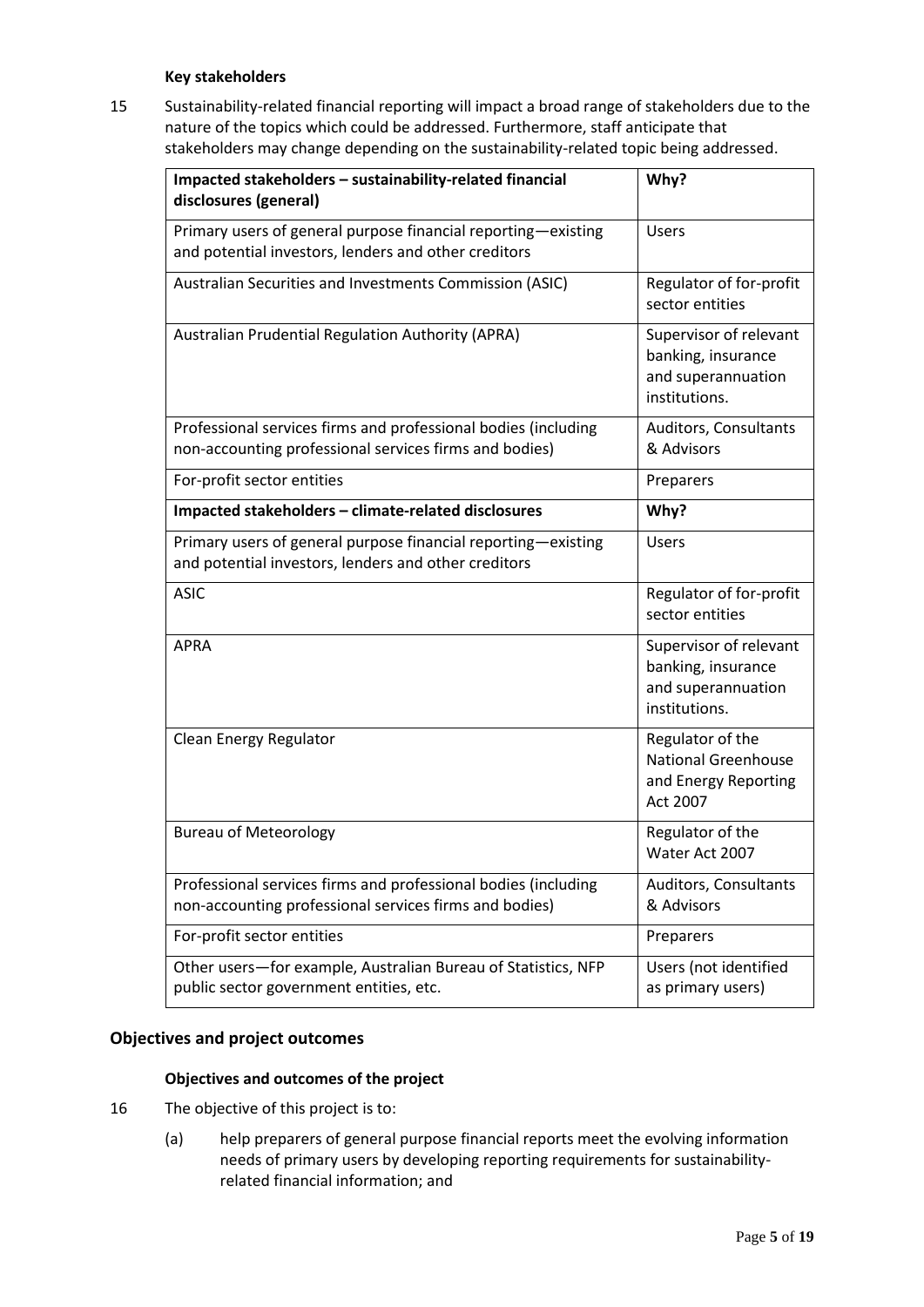# **Key stakeholders**

15 Sustainability-related financial reporting will impact a broad range of stakeholders due to the nature of the topics which could be addressed. Furthermore, staff anticipate that stakeholders may change depending on the sustainability-related topic being addressed.

| Impacted stakeholders - sustainability-related financial<br>disclosures (general)                                        | Why?                                                                                |
|--------------------------------------------------------------------------------------------------------------------------|-------------------------------------------------------------------------------------|
| Primary users of general purpose financial reporting-existing<br>and potential investors, lenders and other creditors    | <b>Users</b>                                                                        |
| Australian Securities and Investments Commission (ASIC)                                                                  | Regulator of for-profit<br>sector entities                                          |
| Australian Prudential Regulation Authority (APRA)                                                                        | Supervisor of relevant<br>banking, insurance<br>and superannuation<br>institutions. |
| Professional services firms and professional bodies (including<br>non-accounting professional services firms and bodies) | Auditors, Consultants<br>& Advisors                                                 |
| For-profit sector entities                                                                                               | Preparers                                                                           |
| Impacted stakeholders - climate-related disclosures                                                                      | Why?                                                                                |
| Primary users of general purpose financial reporting-existing<br>and potential investors, lenders and other creditors    | <b>Users</b>                                                                        |
| <b>ASIC</b>                                                                                                              | Regulator of for-profit<br>sector entities                                          |
| <b>APRA</b>                                                                                                              | Supervisor of relevant<br>banking, insurance<br>and superannuation<br>institutions. |
| Clean Energy Regulator                                                                                                   | Regulator of the<br><b>National Greenhouse</b><br>and Energy Reporting<br>Act 2007  |
| <b>Bureau of Meteorology</b>                                                                                             | Regulator of the<br>Water Act 2007                                                  |
| Professional services firms and professional bodies (including<br>non-accounting professional services firms and bodies) | Auditors, Consultants<br>& Advisors                                                 |
| For-profit sector entities                                                                                               | Preparers                                                                           |
| Other users-for example, Australian Bureau of Statistics, NFP<br>public sector government entities, etc.                 | Users (not identified<br>as primary users)                                          |

# **Objectives and project outcomes**

#### **Objectives and outcomes of the project**

- 16 The objective of this project is to:
	- (a) help preparers of general purpose financial reports meet the evolving information needs of primary users by developing reporting requirements for sustainabilityrelated financial information; and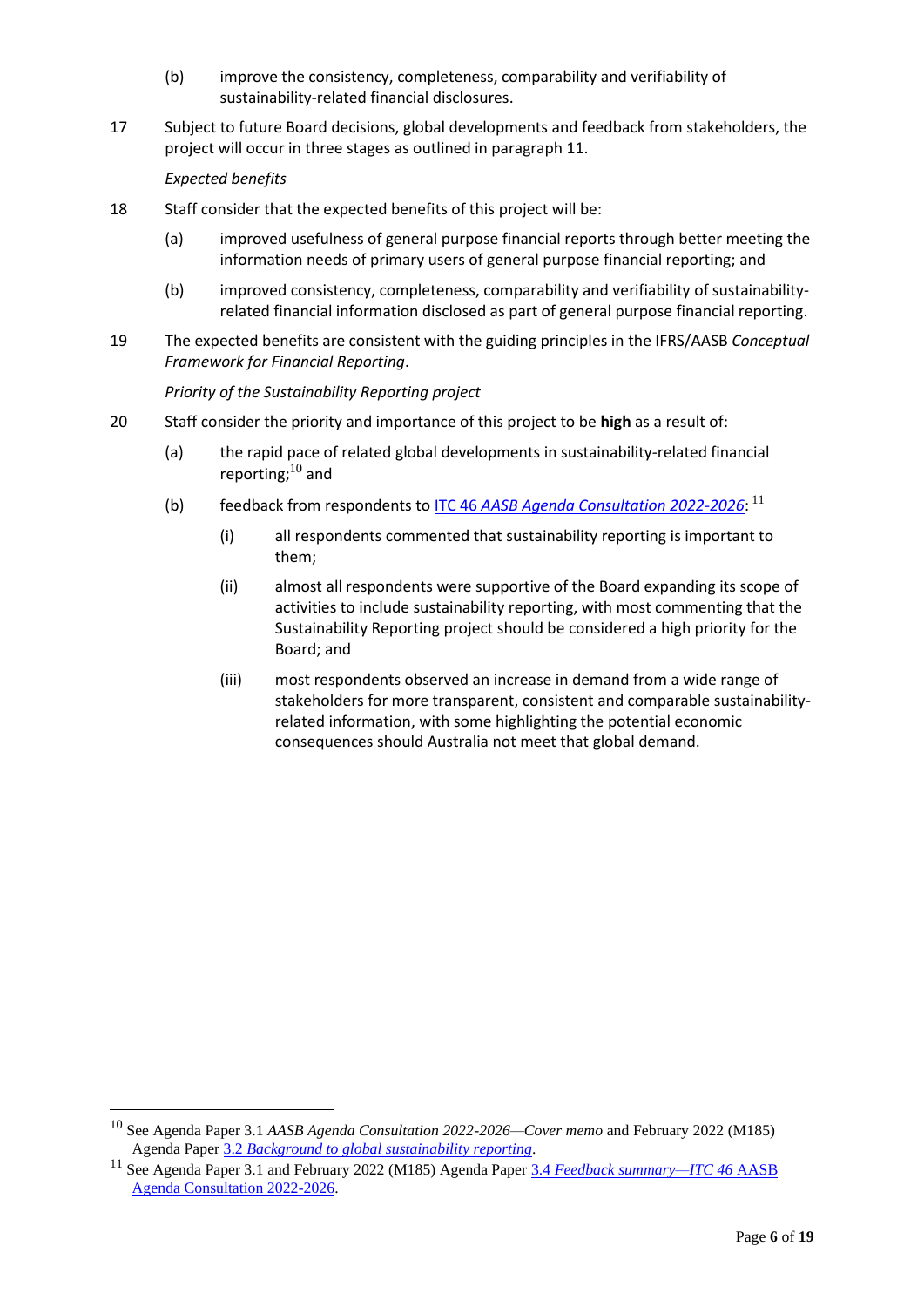- (b) improve the consistency, completeness, comparability and verifiability of sustainability-related financial disclosures.
- 17 Subject to future Board decisions, global developments and feedback from stakeholders, the project will occur in three stages as outlined in paragraph 11.

*Expected benefits*

- 18 Staff consider that the expected benefits of this project will be:
	- (a) improved usefulness of general purpose financial reports through better meeting the information needs of primary users of general purpose financial reporting; and
	- (b) improved consistency, completeness, comparability and verifiability of sustainabilityrelated financial information disclosed as part of general purpose financial reporting.
- 19 The expected benefits are consistent with the guiding principles in the IFRS/AASB *Conceptual Framework for Financial Reporting*.

*Priority of the Sustainability Reporting project*

- 20 Staff consider the priority and importance of this project to be **high** as a result of:
	- (a) the rapid pace of related global developments in sustainability-related financial reporting;<sup>10</sup> and
	- (b) feedback from respondents to <u>ITC 46 [AASB Agenda Consultation 2022-2026](https://www.aasb.gov.au/admin/file/content105/c9/ITC46_10-21.pdf)</u>: <sup>11</sup>
		- (i) all respondents commented that sustainability reporting is important to them;
		- (ii) almost all respondents were supportive of the Board expanding its scope of activities to include sustainability reporting, with most commenting that the Sustainability Reporting project should be considered a high priority for the Board; and
		- (iii) most respondents observed an increase in demand from a wide range of stakeholders for more transparent, consistent and comparable sustainabilityrelated information, with some highlighting the potential economic consequences should Australia not meet that global demand.

<sup>10</sup> See Agenda Paper 3.1 *AASB Agenda Consultation 2022-2026—Cover memo* and February 2022 (M185) Agenda Paper 3.2 *[Background to global sustainability reporting](https://www.aasb.gov.au/media/vb4d0uza/3-2_sr_background_m185_pp.pdf)*.

<sup>&</sup>lt;sup>11</sup> See Agenda Paper 3.1 and February 2022 (M185) Agenda Paper 3.4 *[Feedback summary—ITC 46](https://www.aasb.gov.au/media/ylwp41rf/3-4_sr_feedbacksummary_itc46_m185_pp.pdf)* AASB [Agenda Consultation 2022-2026.](https://www.aasb.gov.au/media/ylwp41rf/3-4_sr_feedbacksummary_itc46_m185_pp.pdf)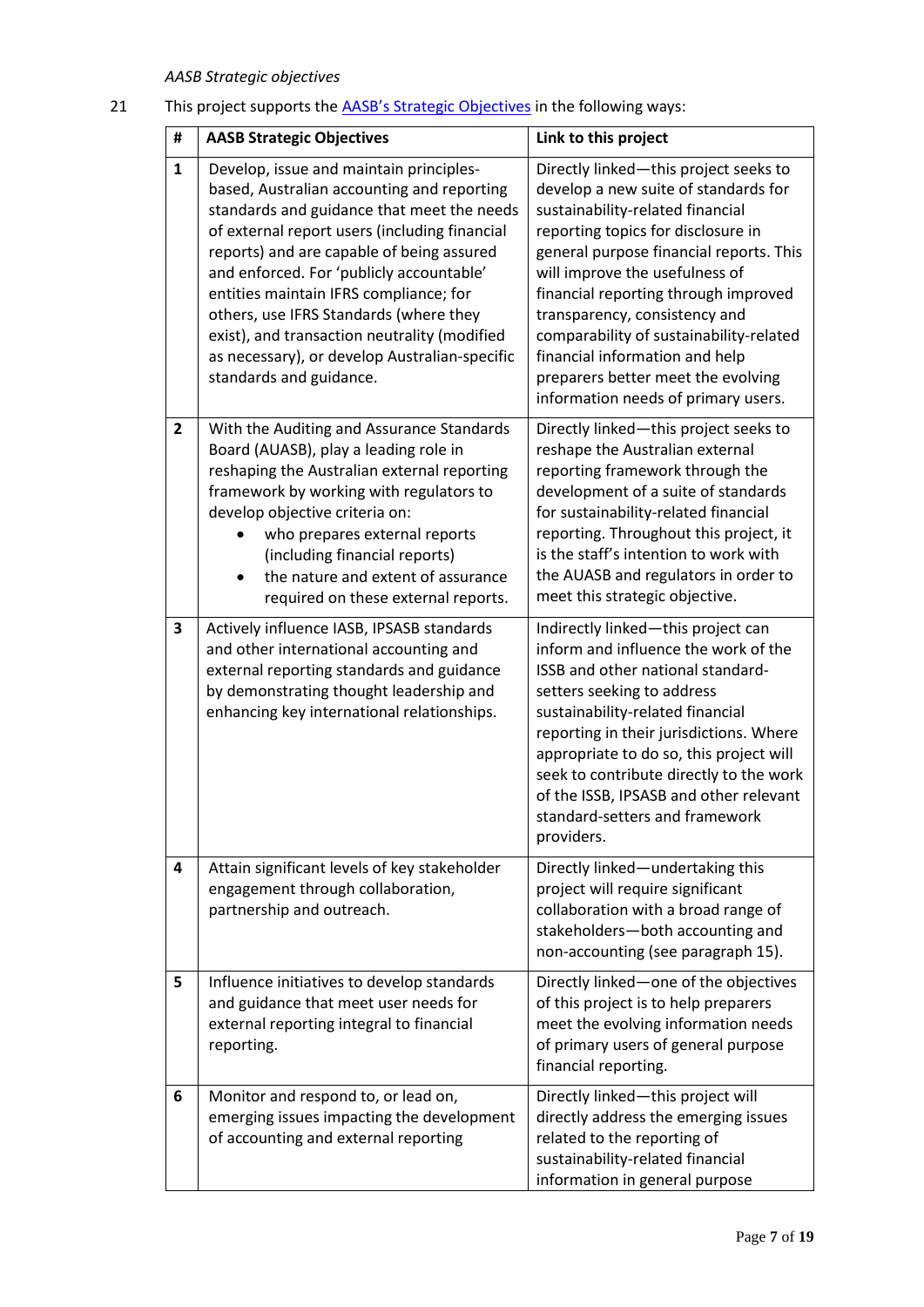# *AASB Strategic objectives*

# 21 This project supports the **[AASB's Strategic Objectives](https://www.aasb.gov.au/admin/file/content102/c3/AASB-AUASB%20Strategy_REVISED130619.pdf)** in the following ways:

| #              | <b>AASB Strategic Objectives</b>                                                                                                                                                                                                                                                                                                                                                                                                                                                              | Link to this project                                                                                                                                                                                                                                                                                                                                                                                                                                                    |
|----------------|-----------------------------------------------------------------------------------------------------------------------------------------------------------------------------------------------------------------------------------------------------------------------------------------------------------------------------------------------------------------------------------------------------------------------------------------------------------------------------------------------|-------------------------------------------------------------------------------------------------------------------------------------------------------------------------------------------------------------------------------------------------------------------------------------------------------------------------------------------------------------------------------------------------------------------------------------------------------------------------|
| 1              | Develop, issue and maintain principles-<br>based, Australian accounting and reporting<br>standards and guidance that meet the needs<br>of external report users (including financial<br>reports) and are capable of being assured<br>and enforced. For 'publicly accountable'<br>entities maintain IFRS compliance; for<br>others, use IFRS Standards (where they<br>exist), and transaction neutrality (modified<br>as necessary), or develop Australian-specific<br>standards and guidance. | Directly linked-this project seeks to<br>develop a new suite of standards for<br>sustainability-related financial<br>reporting topics for disclosure in<br>general purpose financial reports. This<br>will improve the usefulness of<br>financial reporting through improved<br>transparency, consistency and<br>comparability of sustainability-related<br>financial information and help<br>preparers better meet the evolving<br>information needs of primary users. |
| $\overline{2}$ | With the Auditing and Assurance Standards<br>Board (AUASB), play a leading role in<br>reshaping the Australian external reporting<br>framework by working with regulators to<br>develop objective criteria on:<br>who prepares external reports<br>(including financial reports)<br>the nature and extent of assurance<br>required on these external reports.                                                                                                                                 | Directly linked-this project seeks to<br>reshape the Australian external<br>reporting framework through the<br>development of a suite of standards<br>for sustainability-related financial<br>reporting. Throughout this project, it<br>is the staff's intention to work with<br>the AUASB and regulators in order to<br>meet this strategic objective.                                                                                                                 |
| 3              | Actively influence IASB, IPSASB standards<br>and other international accounting and<br>external reporting standards and guidance<br>by demonstrating thought leadership and<br>enhancing key international relationships.                                                                                                                                                                                                                                                                     | Indirectly linked-this project can<br>inform and influence the work of the<br>ISSB and other national standard-<br>setters seeking to address<br>sustainability-related financial<br>reporting in their jurisdictions. Where<br>appropriate to do so, this project will<br>seek to contribute directly to the work<br>of the ISSB, IPSASB and other relevant<br>standard-setters and framework<br>providers.                                                            |
| 4              | Attain significant levels of key stakeholder<br>engagement through collaboration,<br>partnership and outreach.                                                                                                                                                                                                                                                                                                                                                                                | Directly linked-undertaking this<br>project will require significant<br>collaboration with a broad range of<br>stakeholders-both accounting and<br>non-accounting (see paragraph 15).                                                                                                                                                                                                                                                                                   |
| 5              | Influence initiatives to develop standards<br>and guidance that meet user needs for<br>external reporting integral to financial<br>reporting.                                                                                                                                                                                                                                                                                                                                                 | Directly linked-one of the objectives<br>of this project is to help preparers<br>meet the evolving information needs<br>of primary users of general purpose<br>financial reporting.                                                                                                                                                                                                                                                                                     |
| 6              | Monitor and respond to, or lead on,<br>emerging issues impacting the development<br>of accounting and external reporting                                                                                                                                                                                                                                                                                                                                                                      | Directly linked-this project will<br>directly address the emerging issues<br>related to the reporting of<br>sustainability-related financial<br>information in general purpose                                                                                                                                                                                                                                                                                          |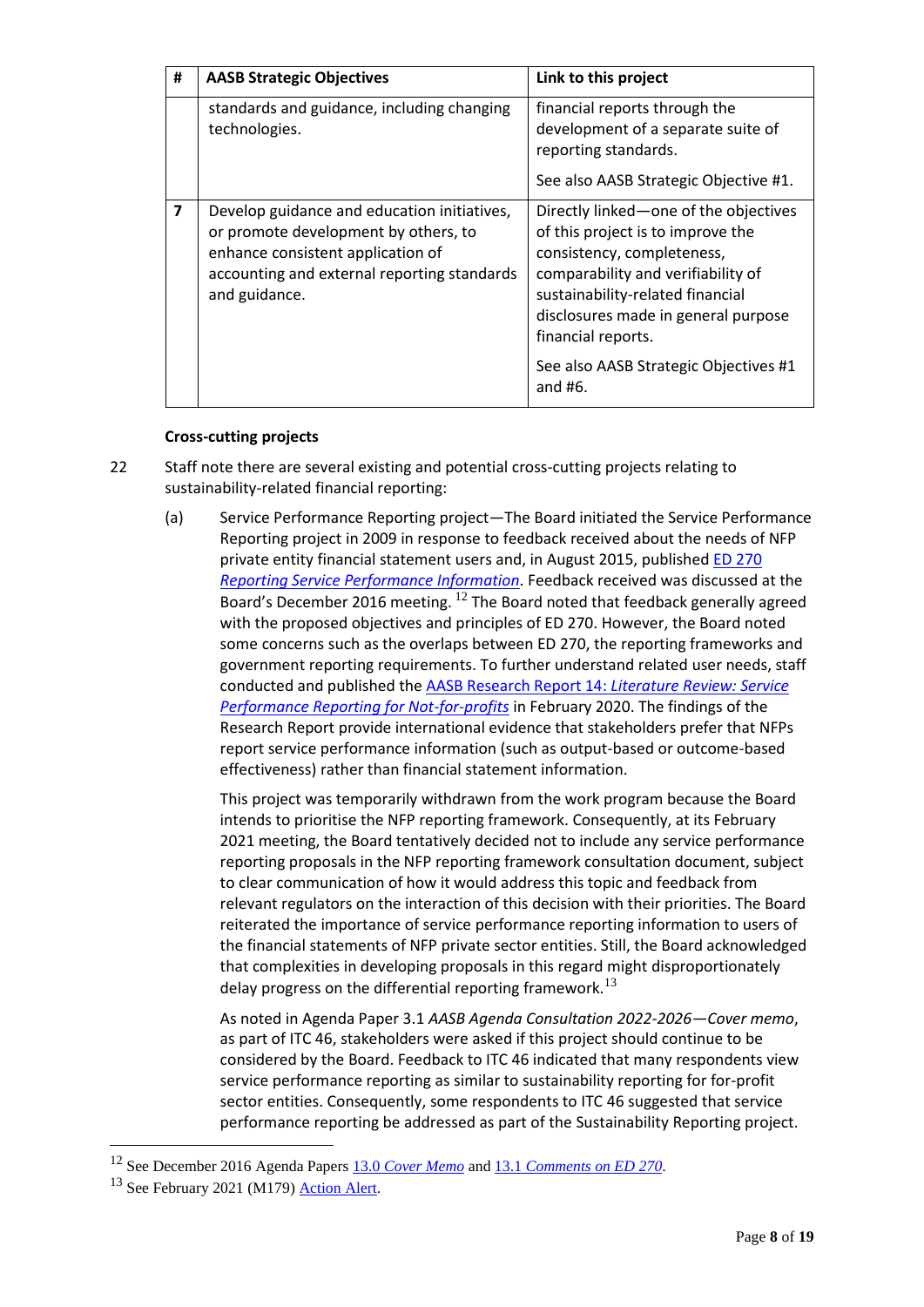| #                       | <b>AASB Strategic Objectives</b>                                                                                                                                                         | Link to this project                                                                                                                                                                                                                                                                                  |
|-------------------------|------------------------------------------------------------------------------------------------------------------------------------------------------------------------------------------|-------------------------------------------------------------------------------------------------------------------------------------------------------------------------------------------------------------------------------------------------------------------------------------------------------|
|                         | standards and guidance, including changing<br>technologies.                                                                                                                              | financial reports through the<br>development of a separate suite of<br>reporting standards.                                                                                                                                                                                                           |
|                         |                                                                                                                                                                                          | See also AASB Strategic Objective #1.                                                                                                                                                                                                                                                                 |
| $\overline{\mathbf{z}}$ | Develop guidance and education initiatives,<br>or promote development by others, to<br>enhance consistent application of<br>accounting and external reporting standards<br>and guidance. | Directly linked-one of the objectives<br>of this project is to improve the<br>consistency, completeness,<br>comparability and verifiability of<br>sustainability-related financial<br>disclosures made in general purpose<br>financial reports.<br>See also AASB Strategic Objectives #1<br>and $#6.$ |

# **Cross-cutting projects**

- 22 Staff note there are several existing and potential cross-cutting projects relating to sustainability-related financial reporting:
	- (a) Service Performance Reporting project—The Board initiated the Service Performance Reporting project in 2009 in response to feedback received about the needs of NFP private entity financial statement users and, in August 2015, published ED 270 *[Reporting Service Performance Information](https://www.aasb.gov.au/admin/file/content105/c9/ACCED270_08-15.pdf)*. Feedback received was discussed at the Board's December 2016 meeting. <sup>12</sup> The Board noted that feedback generally agreed with the proposed objectives and principles of ED 270. However, the Board noted some concerns such as the overlaps between ED 270, the reporting frameworks and government reporting requirements. To further understand related user needs, staff conducted and published th[e AASB Research Report 14:](https://www.aasb.gov.au/admin/file/content102/c3/AASB_RR14_LitReviewOfSPR.pdf) *Literature Review: Service [Performance Reporting for Not-for-profits](https://www.aasb.gov.au/admin/file/content102/c3/AASB_RR14_LitReviewOfSPR.pdf)* in February 2020. The findings of the Research Report provide international evidence that stakeholders prefer that NFPs report service performance information (such as output-based or outcome-based effectiveness) rather than financial statement information.

This project was temporarily withdrawn from the work program because the Board intends to prioritise the NFP reporting framework. Consequently, at its February 2021 meeting, the Board tentatively decided not to include any service performance reporting proposals in the NFP reporting framework consultation document, subject to clear communication of how it would address this topic and feedback from relevant regulators on the interaction of this decision with their priorities. The Board reiterated the importance of service performance reporting information to users of the financial statements of NFP private sector entities. Still, the Board acknowledged that complexities in developing proposals in this regard might disproportionately delay progress on the differential reporting framework.<sup>13</sup>

As noted in Agenda Paper 3.1 *AASB Agenda Consultation 2022-2026—Cover memo*, as part of ITC 46, stakeholders were asked if this project should continue to be considered by the Board. Feedback to ITC 46 indicated that many respondents view service performance reporting as similar to sustainability reporting for for-profit sector entities. Consequently, some respondents to ITC 46 suggested that service performance reporting be addressed as part of the Sustainability Reporting project.

<sup>12</sup> See December 2016 Agenda Papers 13.0 *[Cover Memo](https://www.aasb.gov.au/admin/file/content102/c3/13.0%20Reporting_Service_Performance_Information_Project_Memo%20M155.pdf)* and 13.1 *[Comments on ED 270](https://www.aasb.gov.au/admin/file/content102/c3/13.1%20Reporting_Service_Performance_Information_ED270_Comment%20M155.pdf)*.

<sup>&</sup>lt;sup>13</sup> See February 2021 (M179) [Action Alert.](https://www.aasb.gov.au/admin/file/content102/c3/206-ActionAlert.pdf)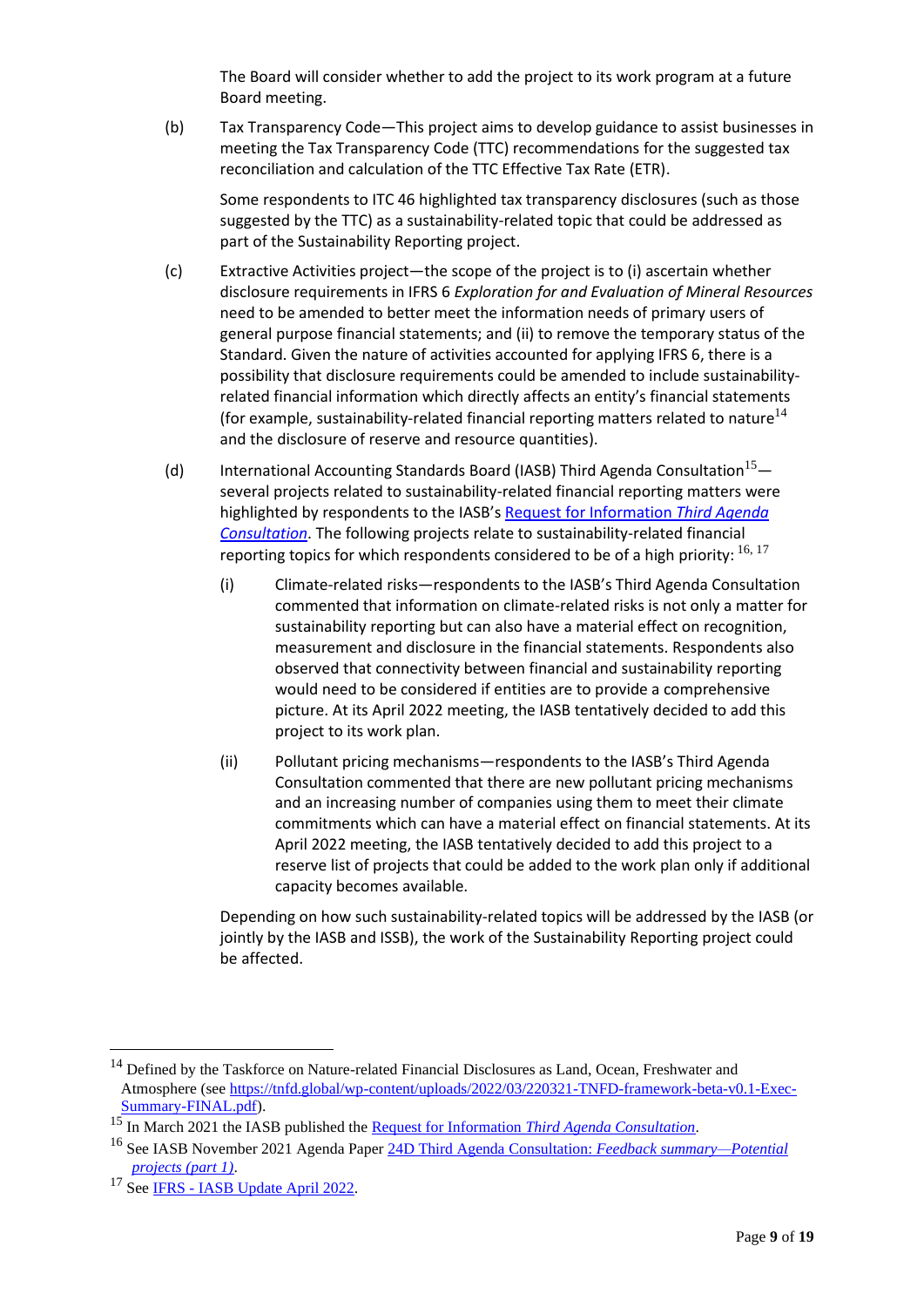The Board will consider whether to add the project to its work program at a future Board meeting.

(b) Tax Transparency Code—This project aims to develop guidance to assist businesses in meeting the Tax Transparency Code (TTC) recommendations for the suggested tax reconciliation and calculation of the TTC Effective Tax Rate (ETR).

Some respondents to ITC 46 highlighted tax transparency disclosures (such as those suggested by the TTC) as a sustainability-related topic that could be addressed as part of the Sustainability Reporting project.

- (c) Extractive Activities project—the scope of the project is to (i) ascertain whether disclosure requirements in IFRS 6 *Exploration for and Evaluation of Mineral Resources* need to be amended to better meet the information needs of primary users of general purpose financial statements; and (ii) to remove the temporary status of the Standard. Given the nature of activities accounted for applying IFRS 6, there is a possibility that disclosure requirements could be amended to include sustainabilityrelated financial information which directly affects an entity's financial statements (for example, sustainability-related financial reporting matters related to nature<sup>14</sup> and the disclosure of reserve and resource quantities).
- (d) International Accounting Standards Board (IASB) Third Agenda Consultation<sup>15</sup> several projects related to sustainability-related financial reporting matters were highlighted by respondents to the IASB's [Request for Information](https://www.ifrs.org/content/dam/ifrs/project/third-agenda-consultation/rfi-third-agenda-consultation-2021.pdf) *Third Agenda [Consultation](https://www.ifrs.org/content/dam/ifrs/project/third-agenda-consultation/rfi-third-agenda-consultation-2021.pdf)*. The following projects relate to sustainability-related financial reporting topics for which respondents considered to be of a high priority:  $^{16, 17}$ 
	- (i) Climate-related risks—respondents to the IASB's Third Agenda Consultation commented that information on climate-related risks is not only a matter for sustainability reporting but can also have a material effect on recognition, measurement and disclosure in the financial statements. Respondents also observed that connectivity between financial and sustainability reporting would need to be considered if entities are to provide a comprehensive picture. At its April 2022 meeting, the IASB tentatively decided to add this project to its work plan.
	- (ii) Pollutant pricing mechanisms—respondents to the IASB's Third Agenda Consultation commented that there are new pollutant pricing mechanisms and an increasing number of companies using them to meet their climate commitments which can have a material effect on financial statements. At its April 2022 meeting, the IASB tentatively decided to add this project to a reserve list of projects that could be added to the work plan only if additional capacity becomes available.

Depending on how such sustainability-related topics will be addressed by the IASB (or jointly by the IASB and ISSB), the work of the Sustainability Reporting project could be affected.

<sup>&</sup>lt;sup>14</sup> Defined by the Taskforce on Nature-related Financial Disclosures as Land, Ocean, Freshwater and Atmosphere (see [https://tnfd.global/wp-content/uploads/2022/03/220321-TNFD-framework-beta-v0.1-Exec-](https://tnfd.global/wp-content/uploads/2022/03/220321-TNFD-framework-beta-v0.1-Exec-Summary-FINAL.pdf)[Summary-FINAL.pdf\)](https://tnfd.global/wp-content/uploads/2022/03/220321-TNFD-framework-beta-v0.1-Exec-Summary-FINAL.pdf).

<sup>15</sup> In March 2021 the IASB published the Request for Information *[Third Agenda Consultation](https://www.ifrs.org/content/dam/ifrs/project/third-agenda-consultation/rfi-third-agenda-consultation-2021.pdf)*.

<sup>16</sup> See IASB November 2021 Agenda Pape[r 24D Third Agenda Consultation:](https://www.ifrs.org/content/dam/ifrs/meetings/2021/december/asaf/ap2d-third-agenda-consultation-feedback-summary-potential-projects-part-1.pdf) *Feedback summary—Potential [projects \(part 1\)](https://www.ifrs.org/content/dam/ifrs/meetings/2021/december/asaf/ap2d-third-agenda-consultation-feedback-summary-potential-projects-part-1.pdf)*.

<sup>&</sup>lt;sup>17</sup> See IFRS - [IASB Update April 2022.](https://www.ifrs.org/news-and-events/updates/iasb/2022/iasb-update-april-2022/?utm_medium=email&utm_source=website-follows-alert&utm_campaign=immediate)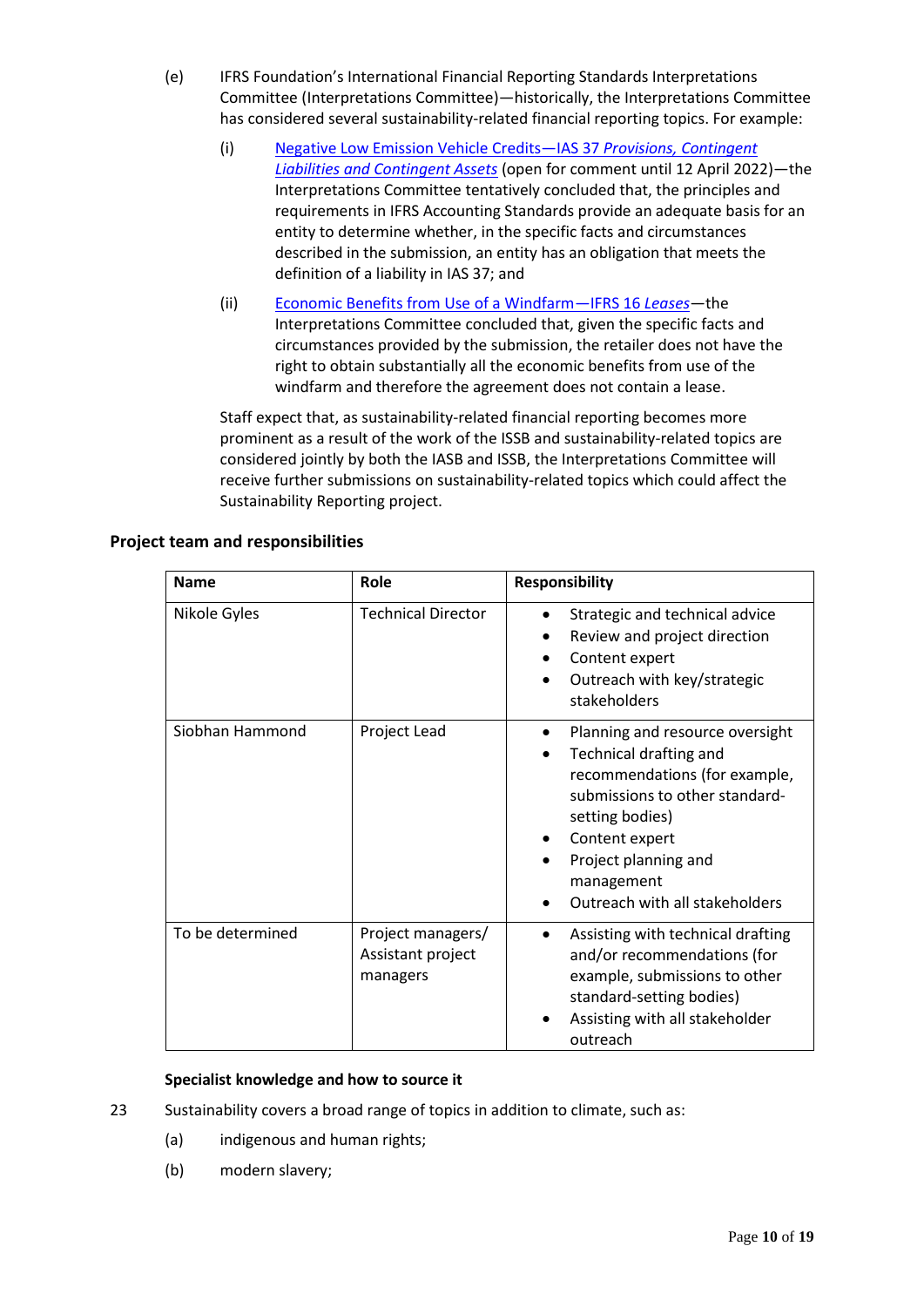- (e) IFRS Foundation's International Financial Reporting Standards Interpretations Committee (Interpretations Committee)—historically, the Interpretations Committee has considered several sustainability-related financial reporting topics. For example:
	- (i) [Negative Low Emission Vehicle Credits](https://www.ifrs.org/projects/work-plan/negative-low-emission-vehicle-credits-ias-37/tentative-agenda-decision-and-comment-letters/)—IAS 37 *Provisions, Contingent [Liabilities and Contingent Assets](https://www.ifrs.org/projects/work-plan/negative-low-emission-vehicle-credits-ias-37/tentative-agenda-decision-and-comment-letters/)* (open for comment until 12 April 2022)—the Interpretations Committee tentatively concluded that, the principles and requirements in IFRS Accounting Standards provide an adequate basis for an entity to determine whether, in the specific facts and circumstances described in the submission, an entity has an obligation that meets the definition of a liability in IAS 37; and
	- (ii) [Economic Benefits from Use of a Windfarm](https://www.ifrs.org/content/dam/ifrs/project/economic-benefits-from-use-of-a-windfarm/ifrs-16-economic-benefits-from-use-of-a-windfarm-dec-21.pdf)—IFRS 16 *Leases*—the Interpretations Committee concluded that, given the specific facts and circumstances provided by the submission, the retailer does not have the right to obtain substantially all the economic benefits from use of the windfarm and therefore the agreement does not contain a lease.

Staff expect that, as sustainability-related financial reporting becomes more prominent as a result of the work of the ISSB and sustainability-related topics are considered jointly by both the IASB and ISSB, the Interpretations Committee will receive further submissions on sustainability-related topics which could affect the Sustainability Reporting project.

| <b>Name</b>      | Role                                               | <b>Responsibility</b>                                                                                                                                                                                                                                         |
|------------------|----------------------------------------------------|---------------------------------------------------------------------------------------------------------------------------------------------------------------------------------------------------------------------------------------------------------------|
| Nikole Gyles     | <b>Technical Director</b>                          | Strategic and technical advice<br>Review and project direction<br>Content expert<br>Outreach with key/strategic<br>stakeholders                                                                                                                               |
| Siobhan Hammond  | Project Lead                                       | Planning and resource oversight<br>$\bullet$<br><b>Technical drafting and</b><br>recommendations (for example,<br>submissions to other standard-<br>setting bodies)<br>Content expert<br>Project planning and<br>management<br>Outreach with all stakeholders |
| To be determined | Project managers/<br>Assistant project<br>managers | Assisting with technical drafting<br>and/or recommendations (for<br>example, submissions to other<br>standard-setting bodies)<br>Assisting with all stakeholder<br>outreach                                                                                   |

# **Project team and responsibilities**

# **Specialist knowledge and how to source it**

- 23 Sustainability covers a broad range of topics in addition to climate, such as:
	- (a) indigenous and human rights;
	- (b) modern slavery;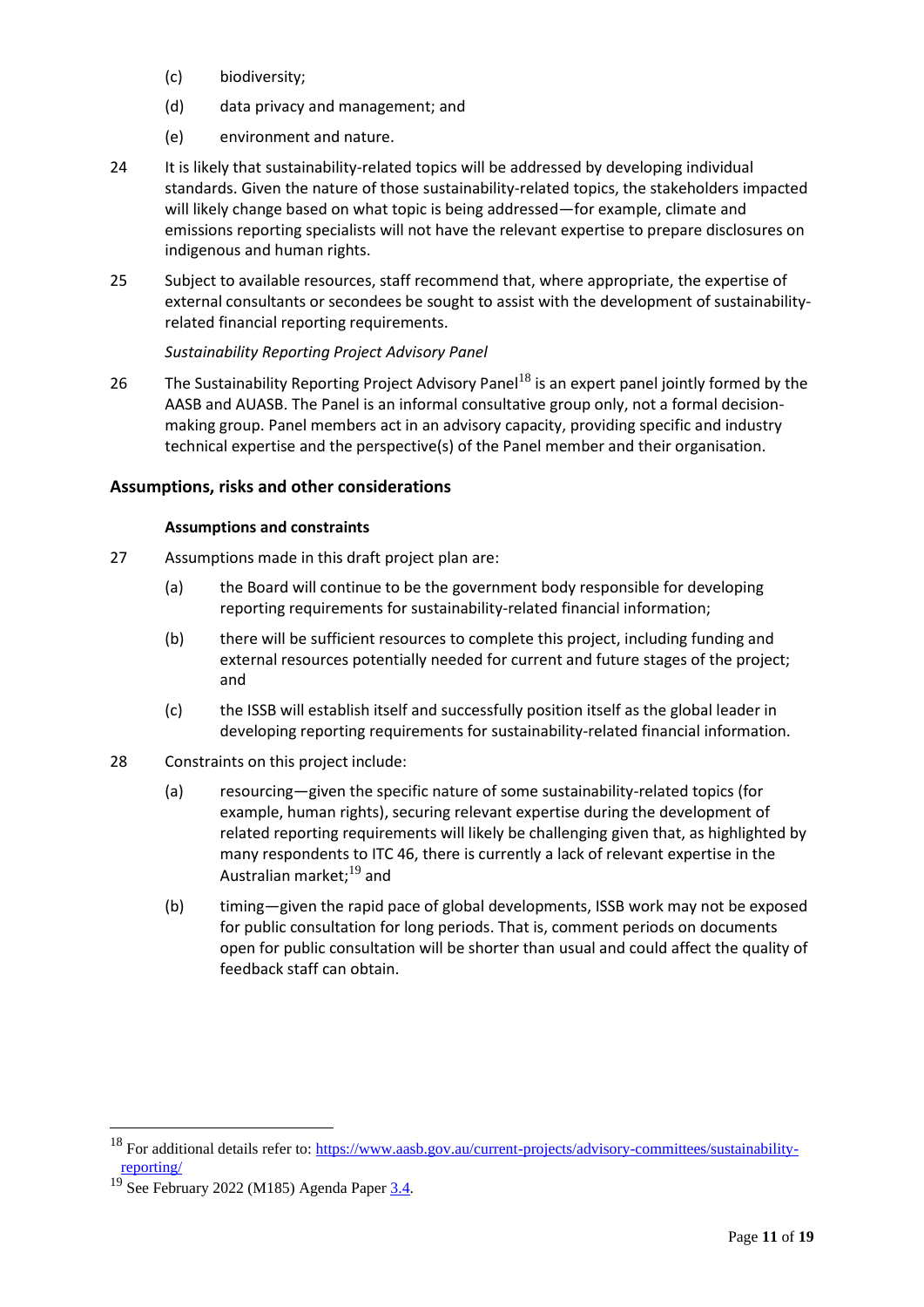- (c) biodiversity;
- (d) data privacy and management; and
- (e) environment and nature.
- 24 It is likely that sustainability-related topics will be addressed by developing individual standards. Given the nature of those sustainability-related topics, the stakeholders impacted will likely change based on what topic is being addressed—for example, climate and emissions reporting specialists will not have the relevant expertise to prepare disclosures on indigenous and human rights.
- 25 Subject to available resources, staff recommend that, where appropriate, the expertise of external consultants or secondees be sought to assist with the development of sustainabilityrelated financial reporting requirements.

# *Sustainability Reporting Project Advisory Panel*

26 The Sustainability Reporting Project Advisory Panel<sup>18</sup> is an expert panel jointly formed by the AASB and AUASB. The Panel is an informal consultative group only, not a formal decisionmaking group. Panel members act in an advisory capacity, providing specific and industry technical expertise and the perspective(s) of the Panel member and their organisation.

# **Assumptions, risks and other considerations**

# **Assumptions and constraints**

- 27 Assumptions made in this draft project plan are:
	- (a) the Board will continue to be the government body responsible for developing reporting requirements for sustainability-related financial information;
	- (b) there will be sufficient resources to complete this project, including funding and external resources potentially needed for current and future stages of the project; and
	- (c) the ISSB will establish itself and successfully position itself as the global leader in developing reporting requirements for sustainability-related financial information.
- 28 Constraints on this project include:
	- (a) resourcing—given the specific nature of some sustainability-related topics (for example, human rights), securing relevant expertise during the development of related reporting requirements will likely be challenging given that, as highlighted by many respondents to ITC 46, there is currently a lack of relevant expertise in the Australian market;<sup>19</sup> and
	- (b) timing—given the rapid pace of global developments, ISSB work may not be exposed for public consultation for long periods. That is, comment periods on documents open for public consultation will be shorter than usual and could affect the quality of feedback staff can obtain.

<sup>&</sup>lt;sup>18</sup> For additional details refer to[: https://www.aasb.gov.au/current-projects/advisory-committees/sustainability](https://www.aasb.gov.au/current-projects/advisory-committees/sustainability-reporting/)[reporting/](https://www.aasb.gov.au/current-projects/advisory-committees/sustainability-reporting/)

 $19$  See February 2022 (M185) Agenda Pape[r 3.4.](https://www.aasb.gov.au/media/ylwp41rf/3-4_sr_feedbacksummary_itc46_m185_pp.pdf)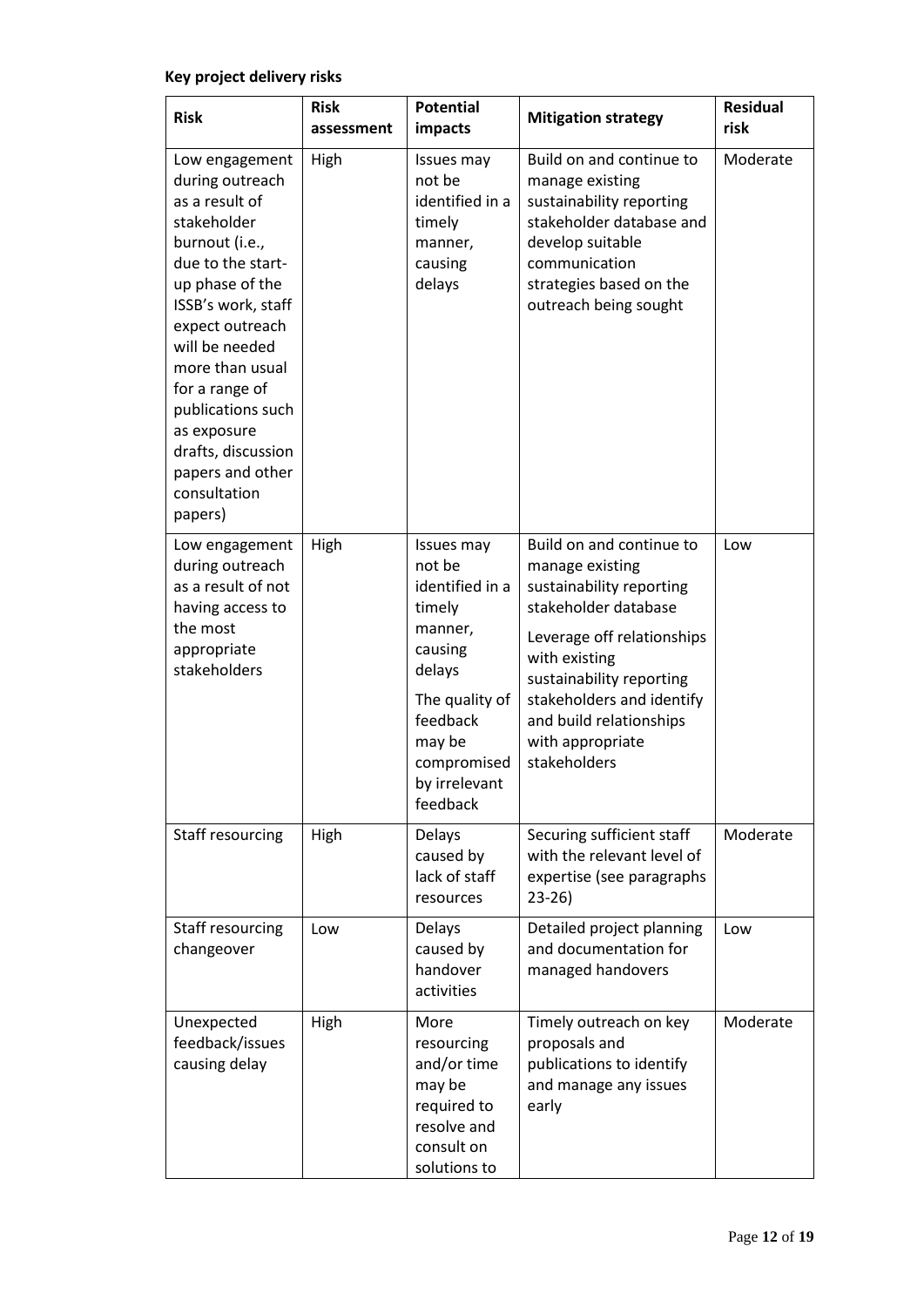# **Key project delivery risks**

| <b>Risk</b>                                                                                                                                                                                                                                                                                                                           | <b>Risk</b><br>assessment | <b>Potential</b><br>impacts                                                                                                                                           | <b>Mitigation strategy</b>                                                                                                                                                                                                                                             | <b>Residual</b><br>risk |
|---------------------------------------------------------------------------------------------------------------------------------------------------------------------------------------------------------------------------------------------------------------------------------------------------------------------------------------|---------------------------|-----------------------------------------------------------------------------------------------------------------------------------------------------------------------|------------------------------------------------------------------------------------------------------------------------------------------------------------------------------------------------------------------------------------------------------------------------|-------------------------|
| Low engagement<br>during outreach<br>as a result of<br>stakeholder<br>burnout (i.e.,<br>due to the start-<br>up phase of the<br>ISSB's work, staff<br>expect outreach<br>will be needed<br>more than usual<br>for a range of<br>publications such<br>as exposure<br>drafts, discussion<br>papers and other<br>consultation<br>papers) | High                      | Issues may<br>not be<br>identified in a<br>timely<br>manner,<br>causing<br>delays                                                                                     | Build on and continue to<br>manage existing<br>sustainability reporting<br>stakeholder database and<br>develop suitable<br>communication<br>strategies based on the<br>outreach being sought                                                                           | Moderate                |
| Low engagement<br>during outreach<br>as a result of not<br>having access to<br>the most<br>appropriate<br>stakeholders                                                                                                                                                                                                                | High                      | Issues may<br>not be<br>identified in a<br>timely<br>manner,<br>causing<br>delays<br>The quality of<br>feedback<br>may be<br>compromised<br>by irrelevant<br>feedback | Build on and continue to<br>manage existing<br>sustainability reporting<br>stakeholder database<br>Leverage off relationships<br>with existing<br>sustainability reporting<br>stakeholders and identify<br>and build relationships<br>with appropriate<br>stakeholders | Low                     |
| Staff resourcing                                                                                                                                                                                                                                                                                                                      | High                      | Delays<br>caused by<br>lack of staff<br>resources                                                                                                                     | Securing sufficient staff<br>with the relevant level of<br>expertise (see paragraphs<br>23-26)                                                                                                                                                                         | Moderate                |
| Staff resourcing<br>changeover                                                                                                                                                                                                                                                                                                        | Low                       | Delays<br>caused by<br>handover<br>activities                                                                                                                         | Detailed project planning<br>and documentation for<br>managed handovers                                                                                                                                                                                                | Low                     |
| Unexpected<br>feedback/issues<br>causing delay                                                                                                                                                                                                                                                                                        | High                      | More<br>resourcing<br>and/or time<br>may be<br>required to<br>resolve and<br>consult on<br>solutions to                                                               | Timely outreach on key<br>proposals and<br>publications to identify<br>and manage any issues<br>early                                                                                                                                                                  | Moderate                |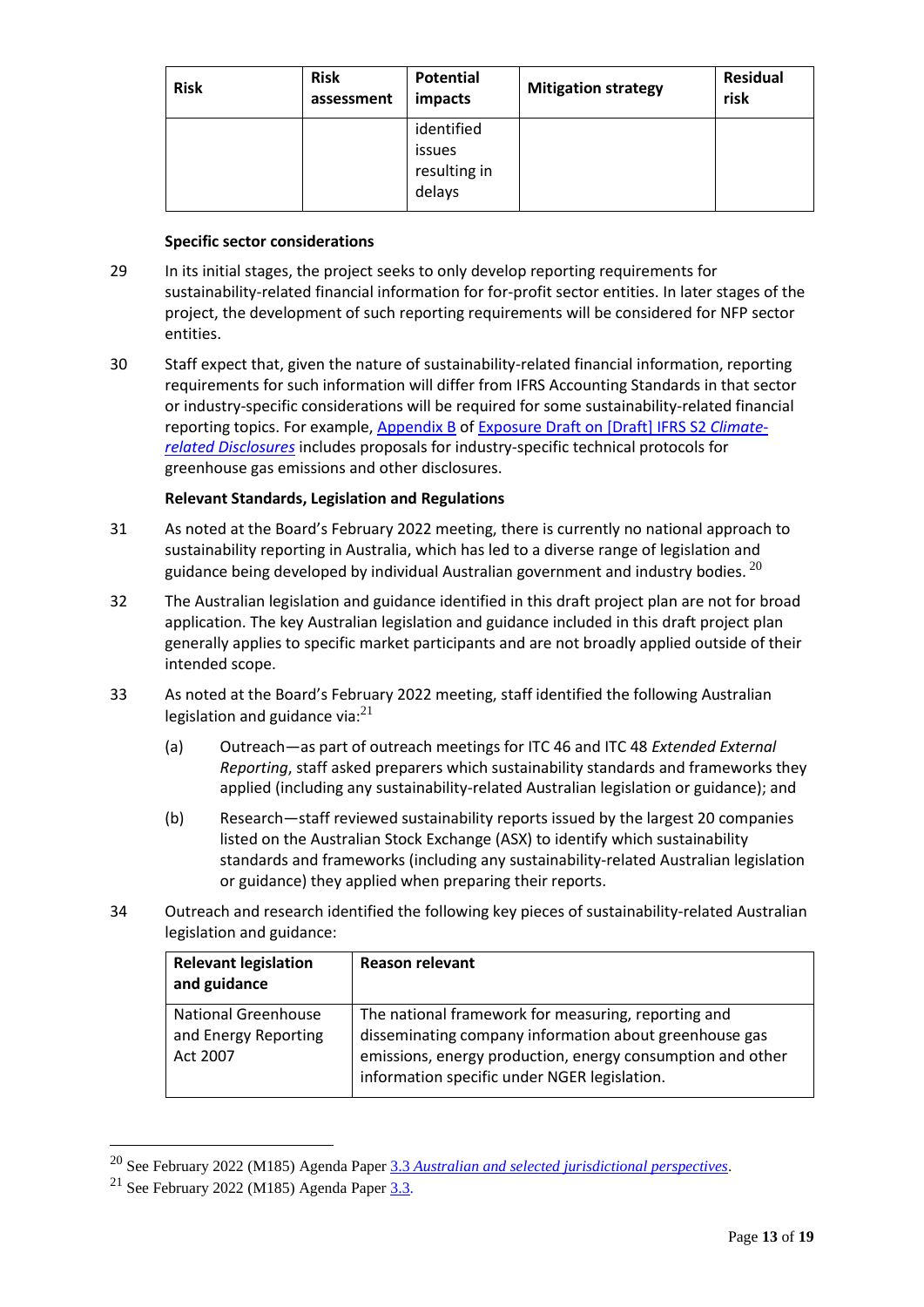| <b>Risk</b> | <b>Risk</b><br>assessment | Potential<br>impacts                           | <b>Mitigation strategy</b> | <b>Residual</b><br>risk |
|-------------|---------------------------|------------------------------------------------|----------------------------|-------------------------|
|             |                           | identified<br>issues<br>resulting in<br>delays |                            |                         |

# **Specific sector considerations**

- 29 In its initial stages, the project seeks to only develop reporting requirements for sustainability-related financial information for for-profit sector entities. In later stages of the project, the development of such reporting requirements will be considered for NFP sector entities.
- 30 Staff expect that, given the nature of sustainability-related financial information, reporting requirements for such information will differ from IFRS Accounting Standards in that sector or industry-specific considerations will be required for some sustainability-related financial reporting topics. For example, [Appendix B](https://www.ifrs.org/content/dam/ifrs/project/climate-related-disclosures/issb-exposure-draft-2022-2-appendix-b.pdf) of [Exposure Draft on \[Draft\] IFRS S2](https://www.ifrs.org/content/dam/ifrs/project/climate-related-disclosures/issb-exposure-draft-2022-2-climate-related-disclosures.pdf) *Climate[related Disclosures](https://www.ifrs.org/content/dam/ifrs/project/climate-related-disclosures/issb-exposure-draft-2022-2-climate-related-disclosures.pdf)* includes proposals for industry-specific technical protocols for greenhouse gas emissions and other disclosures.

# **Relevant Standards, Legislation and Regulations**

- 31 As noted at the Board's February 2022 meeting, there is currently no national approach to sustainability reporting in Australia, which has led to a diverse range of legislation and guidance being developed by individual Australian government and industry bodies.  $^{20}$
- 32 The Australian legislation and guidance identified in this draft project plan are not for broad application. The key Australian legislation and guidance included in this draft project plan generally applies to specific market participants and are not broadly applied outside of their intended scope.
- 33 As noted at the Board's February 2022 meeting, staff identified the following Australian legislation and guidance via: $^{21}$ 
	- (a) Outreach—as part of outreach meetings for ITC 46 and ITC 48 *Extended External Reporting*, staff asked preparers which sustainability standards and frameworks they applied (including any sustainability-related Australian legislation or guidance); and
	- (b) Research—staff reviewed sustainability reports issued by the largest 20 companies listed on the Australian Stock Exchange (ASX) to identify which sustainability standards and frameworks (including any sustainability-related Australian legislation or guidance) they applied when preparing their reports.
- 34 Outreach and research identified the following key pieces of sustainability-related Australian legislation and guidance:

| <b>Relevant legislation</b><br>and guidance                    | <b>Reason relevant</b>                                                                                                                                                                                                      |
|----------------------------------------------------------------|-----------------------------------------------------------------------------------------------------------------------------------------------------------------------------------------------------------------------------|
| <b>National Greenhouse</b><br>and Energy Reporting<br>Act 2007 | The national framework for measuring, reporting and<br>disseminating company information about greenhouse gas<br>emissions, energy production, energy consumption and other<br>information specific under NGER legislation. |

<sup>20</sup> See February 2022 (M185) Agenda Paper 3.3 *[Australian and selected jurisdictional perspectives](https://www.aasb.gov.au/media/x0kp4ywj/3-3_sr_austandselectjurisperspectives_m185_pp.pdf)*.

<sup>&</sup>lt;sup>21</sup> See February 2022 (M185) Agenda Paper  $3.3$ .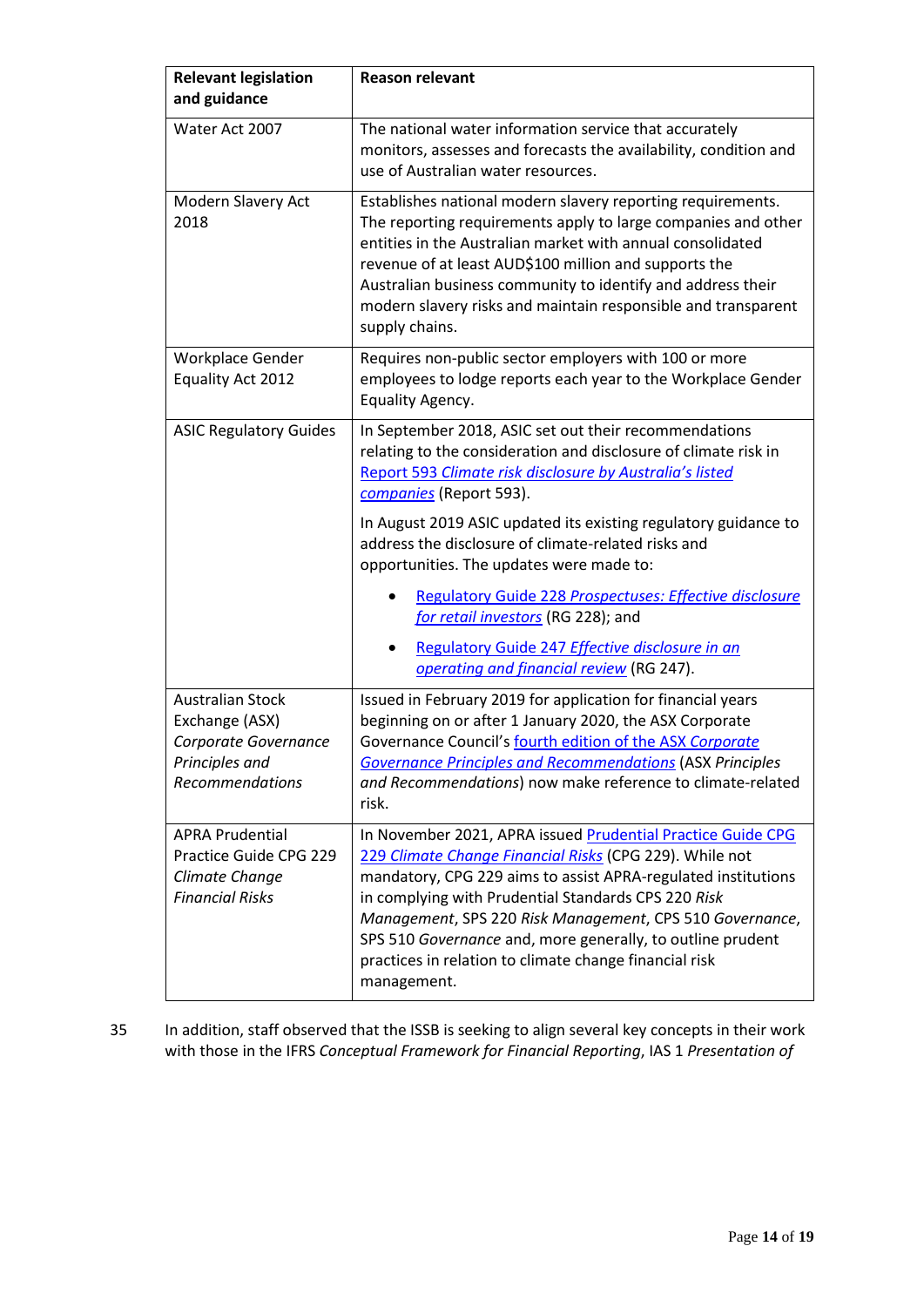| <b>Relevant legislation</b><br>and guidance                                                                   | <b>Reason relevant</b>                                                                                                                                                                                                                                                                                                                                                                                                                            |
|---------------------------------------------------------------------------------------------------------------|---------------------------------------------------------------------------------------------------------------------------------------------------------------------------------------------------------------------------------------------------------------------------------------------------------------------------------------------------------------------------------------------------------------------------------------------------|
| Water Act 2007                                                                                                | The national water information service that accurately<br>monitors, assesses and forecasts the availability, condition and<br>use of Australian water resources.                                                                                                                                                                                                                                                                                  |
| Modern Slavery Act<br>2018                                                                                    | Establishes national modern slavery reporting requirements.<br>The reporting requirements apply to large companies and other<br>entities in the Australian market with annual consolidated<br>revenue of at least AUD\$100 million and supports the<br>Australian business community to identify and address their<br>modern slavery risks and maintain responsible and transparent<br>supply chains.                                             |
| Workplace Gender<br>Equality Act 2012                                                                         | Requires non-public sector employers with 100 or more<br>employees to lodge reports each year to the Workplace Gender<br>Equality Agency.                                                                                                                                                                                                                                                                                                         |
| <b>ASIC Regulatory Guides</b>                                                                                 | In September 2018, ASIC set out their recommendations<br>relating to the consideration and disclosure of climate risk in<br>Report 593 Climate risk disclosure by Australia's listed<br>companies (Report 593).                                                                                                                                                                                                                                   |
|                                                                                                               | In August 2019 ASIC updated its existing regulatory guidance to<br>address the disclosure of climate-related risks and<br>opportunities. The updates were made to:                                                                                                                                                                                                                                                                                |
|                                                                                                               | <b>Regulatory Guide 228 Prospectuses: Effective disclosure</b><br>for retail investors (RG 228); and                                                                                                                                                                                                                                                                                                                                              |
|                                                                                                               | Regulatory Guide 247 Effective disclosure in an<br>operating and financial review (RG 247).                                                                                                                                                                                                                                                                                                                                                       |
| <b>Australian Stock</b><br>Exchange (ASX)<br>Corporate Governance<br>Principles and<br><b>Recommendations</b> | Issued in February 2019 for application for financial years<br>beginning on or after 1 January 2020, the ASX Corporate<br>Governance Council's fourth edition of the ASX Corporate<br><b>Governance Principles and Recommendations (ASX Principles</b><br>and Recommendations) now make reference to climate-related<br>risk.                                                                                                                     |
| <b>APRA Prudential</b><br>Practice Guide CPG 229<br>Climate Change<br><b>Financial Risks</b>                  | In November 2021, APRA issued Prudential Practice Guide CPG<br>229 Climate Change Financial Risks (CPG 229). While not<br>mandatory, CPG 229 aims to assist APRA-regulated institutions<br>in complying with Prudential Standards CPS 220 Risk<br>Management, SPS 220 Risk Management, CPS 510 Governance,<br>SPS 510 Governance and, more generally, to outline prudent<br>practices in relation to climate change financial risk<br>management. |

35 In addition, staff observed that the ISSB is seeking to align several key concepts in their work with those in the IFRS *Conceptual Framework for Financial Reporting*, IAS 1 *Presentation of*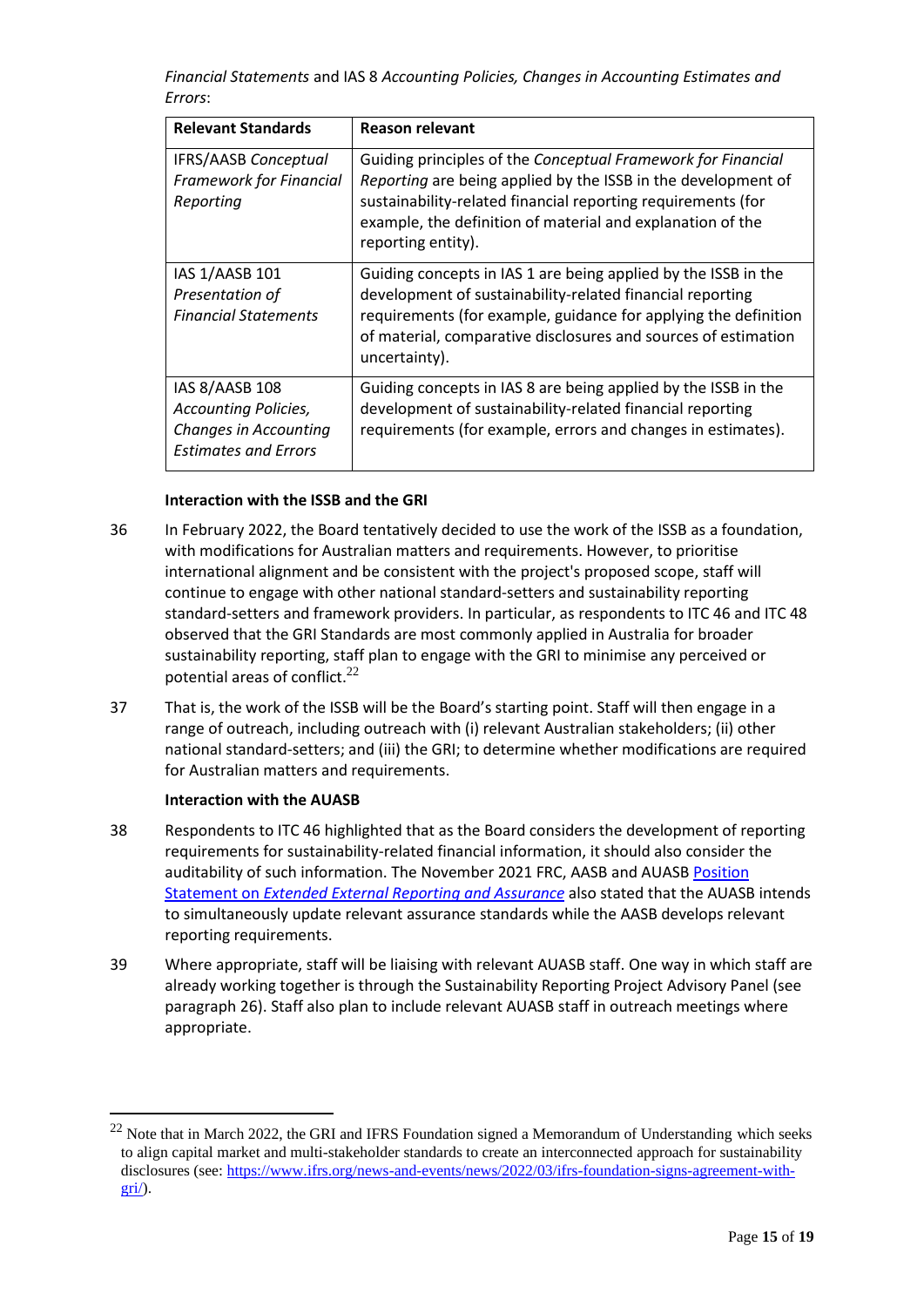*Financial Statements* and IAS 8 *Accounting Policies, Changes in Accounting Estimates and Errors*:

| <b>Relevant Standards</b>                                                                                    | <b>Reason relevant</b>                                                                                                                                                                                                                                                            |
|--------------------------------------------------------------------------------------------------------------|-----------------------------------------------------------------------------------------------------------------------------------------------------------------------------------------------------------------------------------------------------------------------------------|
| <b>IFRS/AASB Conceptual</b><br><b>Framework for Financial</b><br>Reporting                                   | Guiding principles of the Conceptual Framework for Financial<br>Reporting are being applied by the ISSB in the development of<br>sustainability-related financial reporting requirements (for<br>example, the definition of material and explanation of the<br>reporting entity). |
| IAS 1/AASB 101<br>Presentation of<br><b>Financial Statements</b>                                             | Guiding concepts in IAS 1 are being applied by the ISSB in the<br>development of sustainability-related financial reporting<br>requirements (for example, guidance for applying the definition<br>of material, comparative disclosures and sources of estimation<br>uncertainty). |
| IAS 8/AASB 108<br><b>Accounting Policies,</b><br><b>Changes in Accounting</b><br><b>Estimates and Errors</b> | Guiding concepts in IAS 8 are being applied by the ISSB in the<br>development of sustainability-related financial reporting<br>requirements (for example, errors and changes in estimates).                                                                                       |

#### **Interaction with the ISSB and the GRI**

- 36 In February 2022, the Board tentatively decided to use the work of the ISSB as a foundation, with modifications for Australian matters and requirements. However, to prioritise international alignment and be consistent with the project's proposed scope, staff will continue to engage with other national standard-setters and sustainability reporting standard-setters and framework providers. In particular, as respondents to ITC 46 and ITC 48 observed that the GRI Standards are most commonly applied in Australia for broader sustainability reporting, staff plan to engage with the GRI to minimise any perceived or potential areas of conflict. $^{22}$
- 37 That is, the work of the ISSB will be the Board's starting point. Staff will then engage in a range of outreach, including outreach with (i) relevant Australian stakeholders; (ii) other national standard-setters; and (iii) the GRI; to determine whether modifications are required for Australian matters and requirements.

#### **Interaction with the AUASB**

- 38 Respondents to ITC 46 highlighted that as the Board considers the development of reporting requirements for sustainability-related financial information, it should also consider the auditability of such information. The November 2021 FRC, AASB and AUASB Position Statement on *[Extended External Reporting and Assurance](https://www.aasb.gov.au/media/a3yn1thj/jointaasb_auasb_frc_policypositionstatement-11-21.pdf)* also stated that the AUASB intends to simultaneously update relevant assurance standards while the AASB develops relevant reporting requirements.
- 39 Where appropriate, staff will be liaising with relevant AUASB staff. One way in which staff are already working together is through the Sustainability Reporting Project Advisory Panel (see paragraph 26). Staff also plan to include relevant AUASB staff in outreach meetings where appropriate.

<sup>&</sup>lt;sup>22</sup> Note that in March 2022, the GRI and IFRS Foundation signed a Memorandum of Understanding which seeks to align capital market and multi-stakeholder standards to create an interconnected approach for sustainability disclosures (see: [https://www.ifrs.org/news-and-events/news/2022/03/ifrs-foundation-signs-agreement-with](https://www.ifrs.org/news-and-events/news/2022/03/ifrs-foundation-signs-agreement-with-gri/)[gri/\)](https://www.ifrs.org/news-and-events/news/2022/03/ifrs-foundation-signs-agreement-with-gri/).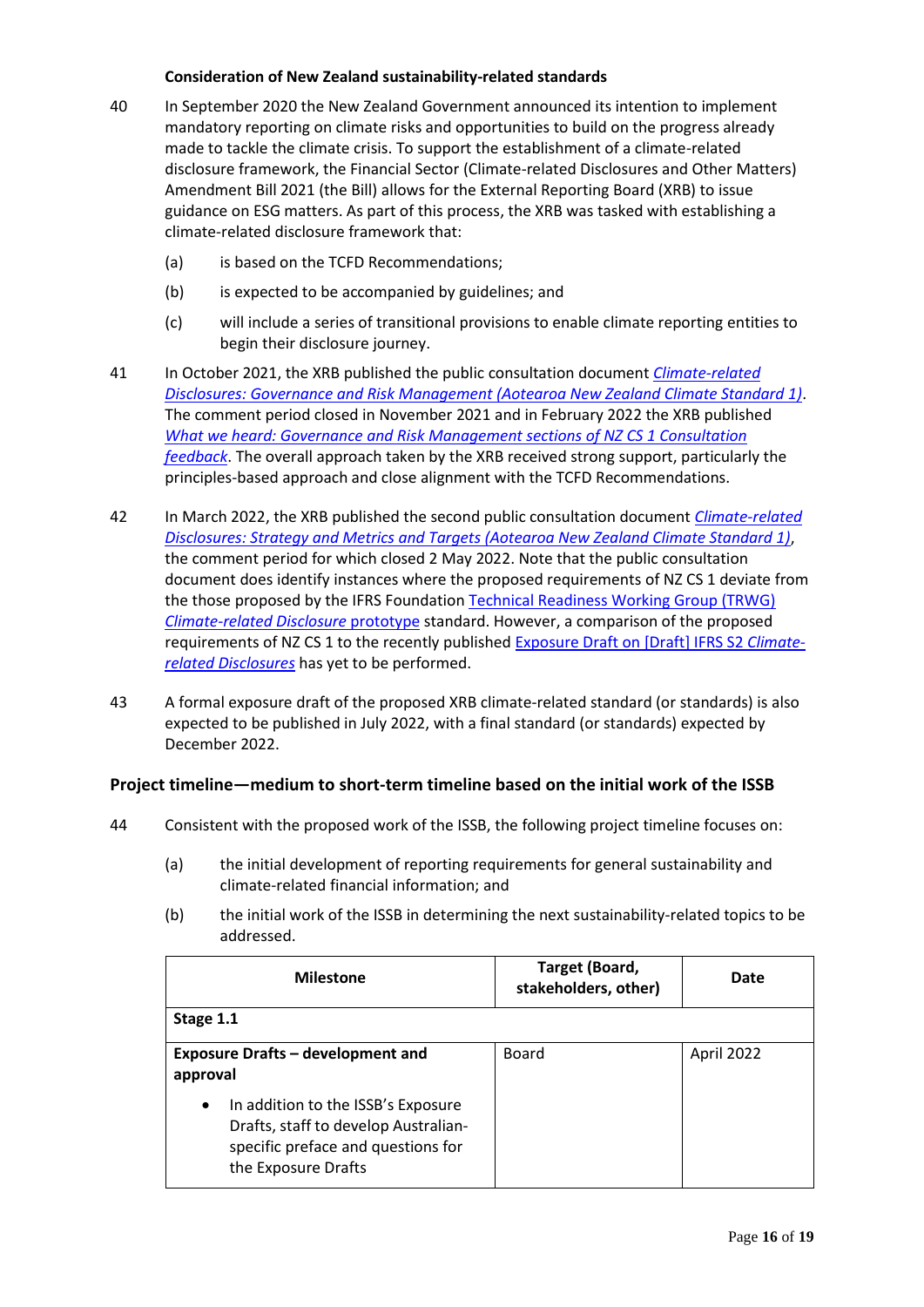#### **Consideration of New Zealand sustainability-related standards**

- 40 In September 2020 the New Zealand Government announced its intention to implement mandatory reporting on climate risks and opportunities to build on the progress already made to tackle the climate crisis. To support the establishment of a climate-related disclosure framework, the Financial Sector (Climate-related Disclosures and Other Matters) Amendment Bill 2021 (the Bill) allows for the External Reporting Board (XRB) to issue guidance on ESG matters. As part of this process, the XRB was tasked with establishing a climate-related disclosure framework that:
	- (a) is based on the TCFD Recommendations;
	- (b) is expected to be accompanied by guidelines; and
	- (c) will include a series of transitional provisions to enable climate reporting entities to begin their disclosure journey.
- 41 In October 2021, the XRB published the public consultation document *[Climate-related](https://www.xrb.govt.nz/standards/climate-related-disclosures/governance-and-risk-management-consultation-document/)  [Disclosures: Governance and Risk Management \(Aotearoa New Zealand Climate Standard 1\)](https://www.xrb.govt.nz/standards/climate-related-disclosures/governance-and-risk-management-consultation-document/)*. The comment period closed in November 2021 and in February 2022 the XRB published *[What we heard: Governance and Risk Management sections of NZ CS 1 Consultation](https://www.xrb.govt.nz/standards/climate-related-disclosures/governance-and-risk-management-consultation-document/)  [feedback](https://www.xrb.govt.nz/standards/climate-related-disclosures/governance-and-risk-management-consultation-document/)*. The overall approach taken by the XRB received strong support, particularly the principles-based approach and close alignment with the TCFD Recommendations.
- 42 In March 2022, the XRB published the second public consultation document *[Climate-related](https://www.xrb.govt.nz/standards/climate-related-disclosures/strategy-and-metrics-and-targets-consultation-document/)  [Disclosures: Strategy and Metrics and Targets \(Aotearoa New Zealand Climate Standard 1\)](https://www.xrb.govt.nz/standards/climate-related-disclosures/strategy-and-metrics-and-targets-consultation-document/)*, the comment period for which closed 2 May 2022. Note that the public consultation document does identify instances where the proposed requirements of NZ CS 1 deviate from the those proposed by the IFRS Foundation [Technical Readiness Working Group \(TRWG\)](https://www.ifrs.org/content/dam/ifrs/groups/trwg/trwg-climate-related-disclosures-prototype.pdf)  *[Climate-related Disclosure](https://www.ifrs.org/content/dam/ifrs/groups/trwg/trwg-climate-related-disclosures-prototype.pdf)* prototype standard. However, a comparison of the proposed requirements of NZ CS 1 to the recently published [Exposure Draft on \[Draft\] IFRS S2](https://www.ifrs.org/content/dam/ifrs/project/climate-related-disclosures/issb-exposure-draft-2022-2-climate-related-disclosures.pdf) *Climate[related Disclosures](https://www.ifrs.org/content/dam/ifrs/project/climate-related-disclosures/issb-exposure-draft-2022-2-climate-related-disclosures.pdf)* has yet to be performed.
- 43 A formal exposure draft of the proposed XRB climate-related standard (or standards) is also expected to be published in July 2022, with a final standard (or standards) expected by December 2022.

# **Project timeline—medium to short-term timeline based on the initial work of the ISSB**

- 44 Consistent with the proposed work of the ISSB, the following project timeline focuses on:
	- (a) the initial development of reporting requirements for general sustainability and climate-related financial information; and
	- (b) the initial work of the ISSB in determining the next sustainability-related topics to be addressed.

| <b>Milestone</b>                                                                                                                                     | Target (Board,<br>stakeholders, other) | Date       |  |  |
|------------------------------------------------------------------------------------------------------------------------------------------------------|----------------------------------------|------------|--|--|
| Stage 1.1                                                                                                                                            |                                        |            |  |  |
| <b>Exposure Drafts - development and</b><br>approval                                                                                                 | Board                                  | April 2022 |  |  |
| In addition to the ISSB's Exposure<br>$\bullet$<br>Drafts, staff to develop Australian-<br>specific preface and questions for<br>the Exposure Drafts |                                        |            |  |  |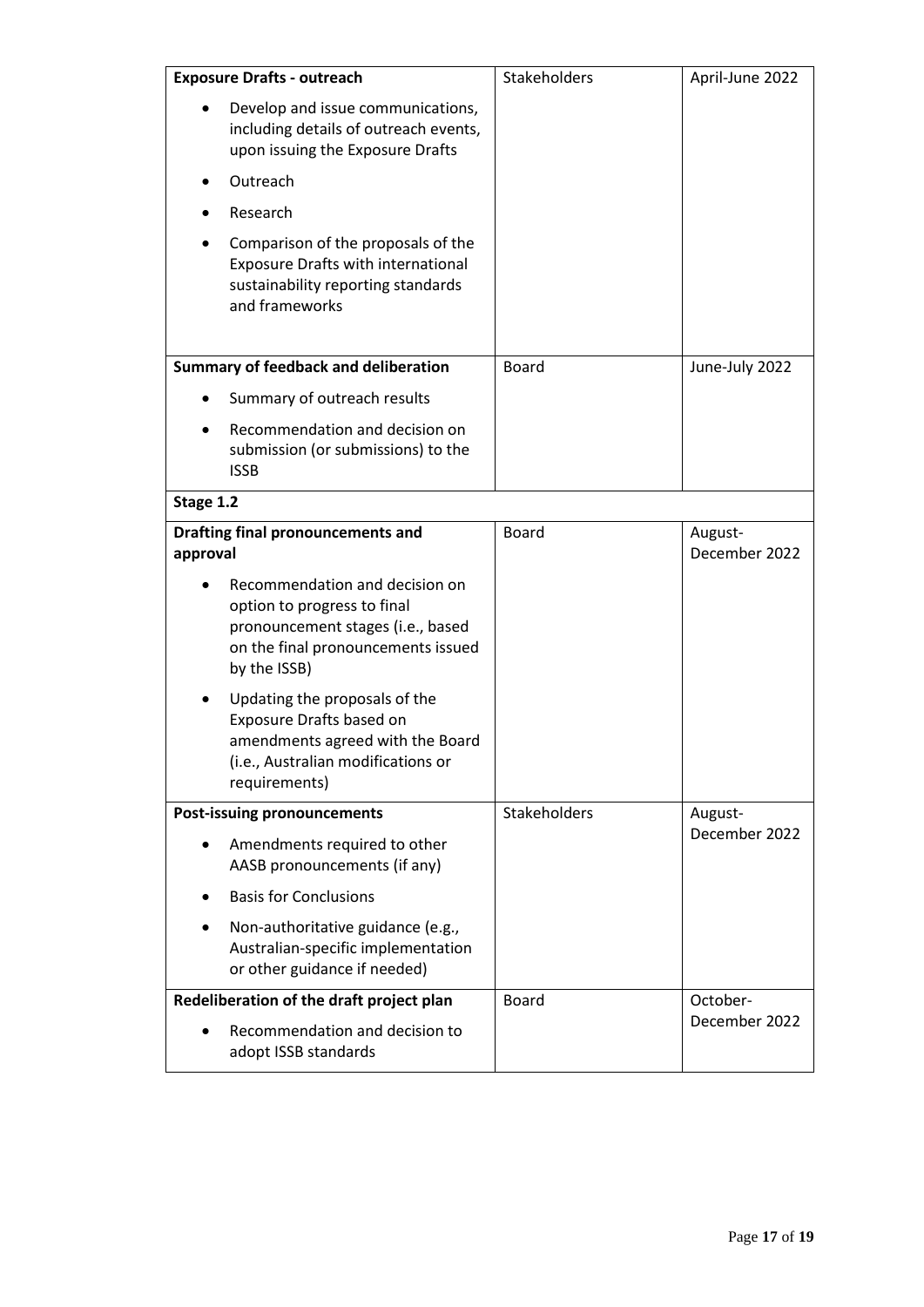| <b>Exposure Drafts - outreach</b>                                                                                                                        | Stakeholders | April-June 2022          |
|----------------------------------------------------------------------------------------------------------------------------------------------------------|--------------|--------------------------|
| Develop and issue communications,<br>including details of outreach events,<br>upon issuing the Exposure Drafts                                           |              |                          |
| Outreach                                                                                                                                                 |              |                          |
| Research                                                                                                                                                 |              |                          |
| Comparison of the proposals of the<br><b>Exposure Drafts with international</b><br>sustainability reporting standards<br>and frameworks                  |              |                          |
| <b>Summary of feedback and deliberation</b>                                                                                                              | <b>Board</b> | June-July 2022           |
| Summary of outreach results                                                                                                                              |              |                          |
| Recommendation and decision on<br>submission (or submissions) to the<br><b>ISSB</b>                                                                      |              |                          |
| Stage 1.2                                                                                                                                                |              |                          |
| <b>Drafting final pronouncements and</b><br>approval                                                                                                     | <b>Board</b> | August-<br>December 2022 |
| Recommendation and decision on<br>option to progress to final<br>pronouncement stages (i.e., based<br>on the final pronouncements issued<br>by the ISSB) |              |                          |
| Updating the proposals of the<br>Exposure Drafts based on<br>amendments agreed with the Board<br>(i.e., Australian modifications or<br>requirements)     |              |                          |
| <b>Post-issuing pronouncements</b>                                                                                                                       | Stakeholders | August-                  |
| Amendments required to other<br>AASB pronouncements (if any)                                                                                             |              | December 2022            |
| <b>Basis for Conclusions</b>                                                                                                                             |              |                          |
| Non-authoritative guidance (e.g.,<br>Australian-specific implementation<br>or other guidance if needed)                                                  |              |                          |
| Redeliberation of the draft project plan                                                                                                                 | <b>Board</b> | October-                 |
| Recommendation and decision to<br>adopt ISSB standards                                                                                                   |              | December 2022            |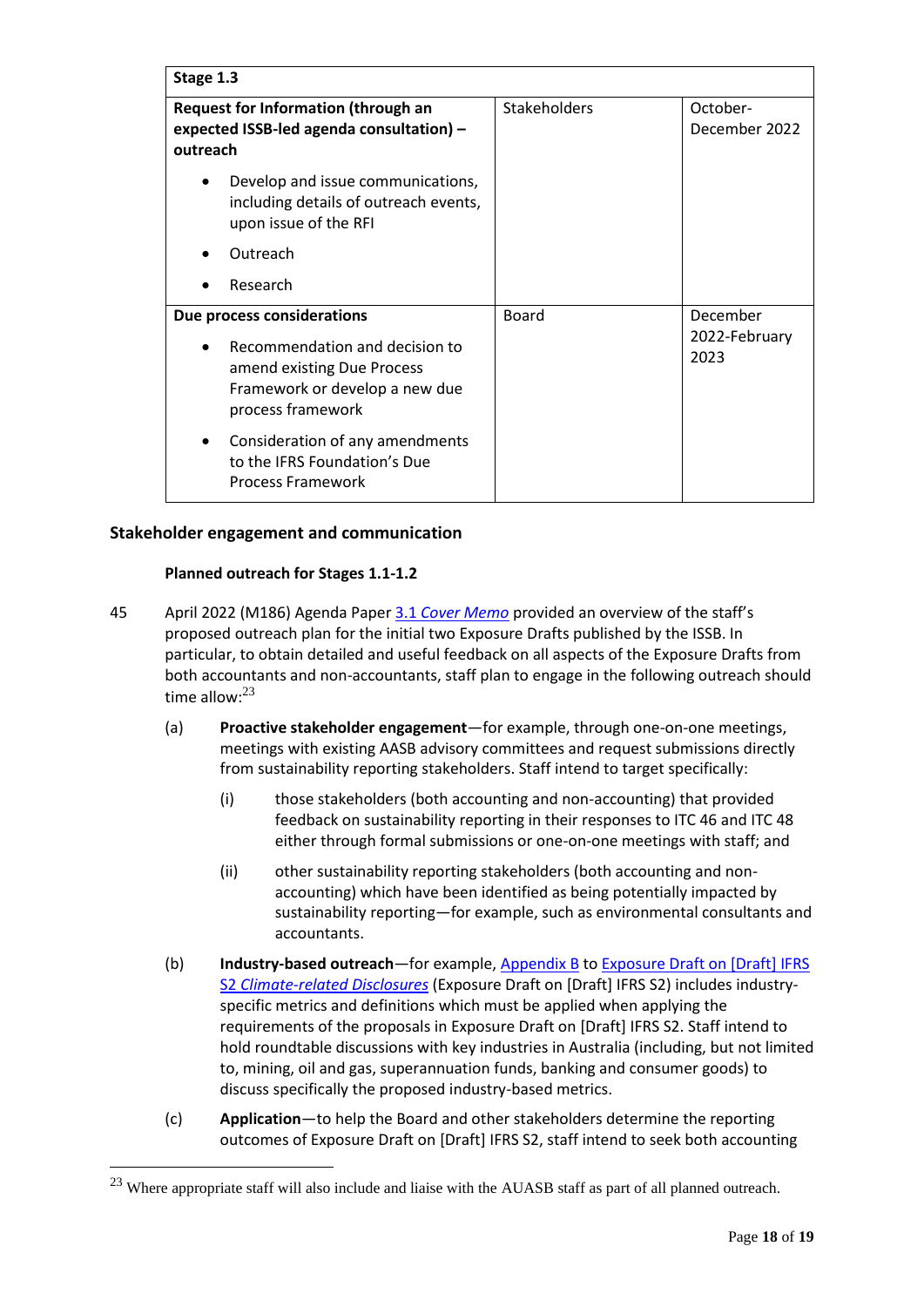| Stage 1.3                                                                                                                                         |                     |                                   |  |
|---------------------------------------------------------------------------------------------------------------------------------------------------|---------------------|-----------------------------------|--|
| <b>Request for Information (through an</b><br>expected ISSB-led agenda consultation) -<br>outreach                                                | <b>Stakeholders</b> | October-<br>December 2022         |  |
| Develop and issue communications,<br>$\bullet$<br>including details of outreach events,<br>upon issue of the RFI                                  |                     |                                   |  |
| Outreach                                                                                                                                          |                     |                                   |  |
| Research                                                                                                                                          |                     |                                   |  |
| Due process considerations<br>Recommendation and decision to<br>amend existing Due Process<br>Framework or develop a new due<br>process framework | <b>Board</b>        | December<br>2022-February<br>2023 |  |
| Consideration of any amendments<br>$\bullet$<br>to the IFRS Foundation's Due<br><b>Process Framework</b>                                          |                     |                                   |  |

# **Stakeholder engagement and communication**

# **Planned outreach for Stages 1.1-1.2**

- 45 April 2022 (M186) Agenda Paper 3.1 *[Cover Memo](https://www.aasb.gov.au/media/d0rfxvjh/03-1-0_sp_sr_covermemo_m186_pp.pdf)* provided an overview of the staff's proposed outreach plan for the initial two Exposure Drafts published by the ISSB. In particular, to obtain detailed and useful feedback on all aspects of the Exposure Drafts from both accountants and non-accountants, staff plan to engage in the following outreach should time allow: $^{23}$ 
	- (a) **Proactive stakeholder engagement**—for example, through one-on-one meetings, meetings with existing AASB advisory committees and request submissions directly from sustainability reporting stakeholders. Staff intend to target specifically:
		- (i) those stakeholders (both accounting and non-accounting) that provided feedback on sustainability reporting in their responses to ITC 46 and ITC 48 either through formal submissions or one-on-one meetings with staff; and
		- (ii) other sustainability reporting stakeholders (both accounting and nonaccounting) which have been identified as being potentially impacted by sustainability reporting—for example, such as environmental consultants and accountants.
	- (b) **Industry-based outreach**—for example[, Appendix B](https://www.ifrs.org/content/dam/ifrs/project/climate-related-disclosures/issb-exposure-draft-2022-2-appendix-b.pdf) to Exposure Draft on [Draft] IFRS S2 *[Climate-related Disclosures](https://www.ifrs.org/content/dam/ifrs/project/climate-related-disclosures/issb-exposure-draft-2022-2-climate-related-disclosures.pdf)* (Exposure Draft on [Draft] IFRS S2) includes industryspecific metrics and definitions which must be applied when applying the requirements of the proposals in Exposure Draft on [Draft] IFRS S2. Staff intend to hold roundtable discussions with key industries in Australia (including, but not limited to, mining, oil and gas, superannuation funds, banking and consumer goods) to discuss specifically the proposed industry-based metrics.
	- (c) **Application**—to help the Board and other stakeholders determine the reporting outcomes of Exposure Draft on [Draft] IFRS S2, staff intend to seek both accounting

<sup>&</sup>lt;sup>23</sup> Where appropriate staff will also include and liaise with the AUASB staff as part of all planned outreach.